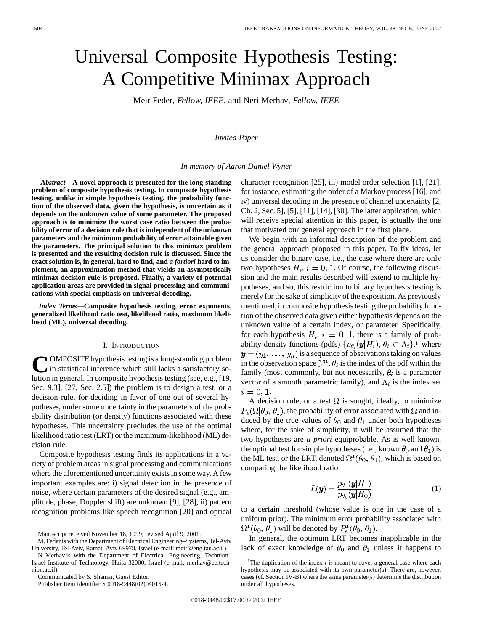# Universal Composite Hypothesis Testing: A Competitive Minimax Approach

Meir Feder*, Fellow, IEEE,* and Neri Merhav*, Fellow, IEEE*

## *Invited Paper*

## *In memory of Aaron Daniel Wyner*

*Abstract—***A novel approach is presented for the long-standing problem of composite hypothesis testing. In composite hypothesis testing, unlike in simple hypothesis testing, the probability function of the observed data, given the hypothesis, is uncertain as it depends on the unknown value of some parameter. The proposed approach is to minimize the worst case ratio between the probability of error of a decision rule that is independent of the unknown parameters and the minimum probability of error attainable given the parameters. The principal solution to this minimax problem is presented and the resulting decision rule is discussed. Since the exact solution is, in general, hard to find, and** *a fortiori* **hard to implement, an approximation method that yields an asymptotically minimax decision rule is proposed. Finally, a variety of potential application areas are provided in signal processing and communications with special emphasis on universal decoding.**

*Index Terms—***Composite hypothesis testing, error exponents, generalized likelihood ratio test, likelihood ratio, maximum likelihood (ML), universal decoding.**

## I. INTRODUCTION

**C**OMPOSITE hypothesis testing is a long-standing problem in statistical inference which still lacks a satisfactory solution in general. In composite hypothesis testing (see, e.g., [19, Sec. 9.3], [27, Sec. 2.5]) the problem is to design a test, or a decision rule, for deciding in favor of one out of several hypotheses, under some uncertainty in the parameters of the probability distribution (or density) functions associated with these hypotheses. This uncertainty precludes the use of the optimal likelihood ratio test (LRT) or the maximum-likelihood (ML) decision rule.

Composite hypothesis testing finds its applications in a variety of problem areas in signal processing and communications where the aforementioned uncertainty exists in some way. A few important examples are: i) signal detection in the presence of noise, where certain parameters of the desired signal (e.g., amplitude, phase, Doppler shift) are unknown [9], [28], ii) pattern recognition problems like speech recognition [20] and optical

Manuscript received November 18, 1999; revised April 9, 2001.

N. Merhav is with the Department of Electrical Engineering, Technion– Israel Institute of Technology, Haifa 32000, Israel (e-mail: merhav@ee.technion.ac.il).

Communicated by S. Shamai, Guest Editor.

Publisher Item Identifier S 0018-9448(02)04015-4.

character recognition [25], iii) model order selection [1], [21], for instance, estimating the order of a Markov process [16], and iv) universal decoding in the presence of channel uncertainty [2, Ch. 2, Sec. 5], [5], [11], [14], [30]. The latter application, which will receive special attention in this paper, is actually the one that motivated our general approach in the first place.

We begin with an informal description of the problem and the general approach proposed in this paper. To fix ideas, let us consider the binary case, i.e., the case where there are only two hypotheses  $H_i$ ,  $i = 0, 1$ . Of course, the following discussion and the main results described will extend to multiple hypotheses, and so, this restriction to binary hypothesis testing is merely for the sake of simplicity of the exposition. As previously mentioned, in composite hypothesis testing the probability function of the observed data given either hypothesis depends on the unknown value of a certain index, or parameter. Specifically, for each hypothesis  $H_i$ ,  $i = 0, 1$ , there is a family of probability density functions (pdfs)  $\{p_{\theta_i}(\mathbf{y}|H_i), \theta_i \in \Lambda_i\}$ ,<sup>1</sup> where  $\mathbf{y} = (y_1, \ldots, y_n)$  is a sequence of observations taking on values in the observation space  $\mathcal{Y}^n$ ,  $\theta_i$  is the index of the pdf within the family (most commonly, but not necessarily,  $\theta_i$  is a parameter vector of a smooth parametric family), and  $\Lambda_i$  is the index set  $i = 0, 1.$ 

A decision rule, or a test  $\Omega$  is sought, ideally, to minimize  $P_e(\Omega|\theta_0, \theta_1)$ , the probability of error associated with  $\Omega$  and induced by the true values of  $\theta_0$  and  $\theta_1$  under both hypotheses where, for the sake of simplicity, it will be assumed that the two hypotheses are *a priori* equiprobable. As is well known, the optimal test for simple hypotheses (i.e., known  $\theta_0$  and  $\theta_1$ ) is the ML test, or the LRT, denoted  $\Omega^*(\theta_0, \theta_1)$ , which is based on comparing the likelihood ratio

$$
L(\mathbf{y}) = \frac{p_{\theta_1}(\mathbf{y}|H_1)}{p_{\theta_0}(\mathbf{y}|H_0)}
$$
(1)

to a certain threshold (whose value is one in the case of a uniform prior). The minimum error probability associated with  $\Omega^*(\theta_0, \theta_1)$  will be denoted by  $P_e^*(\theta_0, \theta_1)$ .

In general, the optimum LRT becomes inapplicable in the lack of exact knowledge of  $\theta_0$  and  $\theta_1$  unless it happens to

M. Feder is with the Department of Electrical Engineering–Systems, Tel-Aviv University, Tel-Aviv, Ramat–Aviv 69978, Israel (e-mail: meir@eng.tau.ac.il).

<sup>&</sup>lt;sup>1</sup>The duplication of the index  $i$  is meant to cover a general case where each hypothesis may be associated with its own parameter(s). There are, however, cases (cf. Section IV-B) where the same parameter(s) determine the distribution under all hypotheses.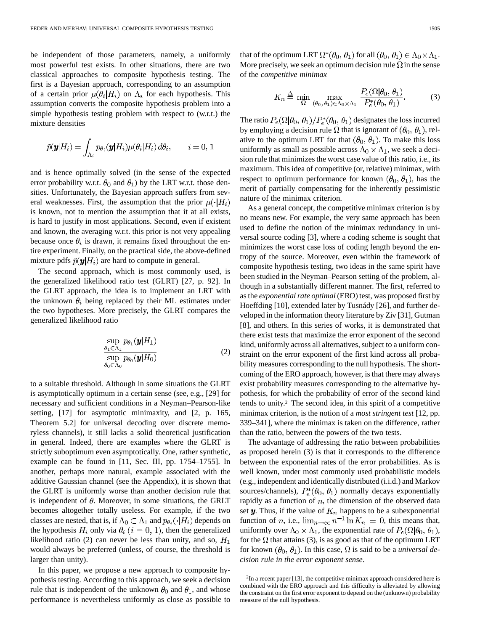be independent of those parameters, namely, a uniformly most powerful test exists. In other situations, there are two classical approaches to composite hypothesis testing. The first is a Bayesian approach, corresponding to an assumption of a certain prior  $\mu(\theta_i|H_i)$  on  $\Lambda_i$  for each hypothesis. This assumption converts the composite hypothesis problem into a simple hypothesis testing problem with respect to (w.r.t.) the mixture densities

$$
\widetilde{p}(\boldsymbol{y}|H_i) = \int_{\Lambda_i} p_{\theta_i}(\boldsymbol{y}|H_i) \mu(\theta_i|H_i) d\theta_i, \qquad i = 0, 1
$$

and is hence optimally solved (in the sense of the expected error probability w.r.t.  $\theta_0$  and  $\theta_1$ ) by the LRT w.r.t. those densities. Unfortunately, the Bayesian approach suffers from several weaknesses. First, the assumption that the prior  $\mu(\cdot|H_i)$ is known, not to mention the assumption that it at all exists, is hard to justify in most applications. Second, even if existent and known, the averaging w.r.t. this prior is not very appealing because once  $\theta_i$  is drawn, it remains fixed throughout the entire experiment. Finally, on the practical side, the above-defined mixture pdfs  $\tilde{p}(\mathbf{y}|H_i)$  are hard to compute in general.

The second approach, which is most commonly used, is the generalized likelihood ratio test (GLRT) [27, p. 92]. In the GLRT approach, the idea is to implement an LRT with the unknown  $\theta_i$  being replaced by their ML estimates under the two hypotheses. More precisely, the GLRT compares the generalized likelihood ratio

$$
\frac{\sup_{\theta_1 \in \Lambda_1} p_{\theta_1}(\mathbf{y}|H_1)}{\sup_{\theta_0 \in \Lambda_0} p_{\theta_0}(\mathbf{y}|H_0)}
$$
(2)

to a suitable threshold. Although in some situations the GLRT is asymptotically optimum in a certain sense (see, e.g., [29] for necessary and sufficient conditions in a Neyman–Pearson-like setting, [17] for asymptotic minimaxity, and [2, p. 165, Theorem 5.2] for universal decoding over discrete memoryless channels), it still lacks a solid theoretical justification in general. Indeed, there are examples where the GLRT is strictly suboptimum even asymptotically. One, rather synthetic, example can be found in [11, Sec. III, pp. 1754–1755]. In another, perhaps more natural, example associated with the additive Gaussian channel (see the Appendix), it is shown that the GLRT is uniformly worse than another decision rule that is independent of  $\theta$ . Moreover, in some situations, the GRLT becomes altogether totally useless. For example, if the two classes are nested, that is, if  $\Lambda_0 \subset \Lambda_1$  and  $p_{\theta_i}(\cdot | H_i)$  depends on the hypothesis  $H_i$  only via  $\theta_i$  ( $i = 0, 1$ ), then the generalized likelihood ratio (2) can never be less than unity, and so,  $H_1$ would always be preferred (unless, of course, the threshold is larger than unity).

In this paper, we propose a new approach to composite hypothesis testing. According to this approach, we seek a decision rule that is independent of the unknown  $\theta_0$  and  $\theta_1$ , and whose performance is nevertheless uniformly as close as possible to that of the optimum LRT  $\Omega^*(\theta_0, \theta_1)$  for all  $(\theta_0, \theta_1) \in \Lambda_0 \times \Lambda_1$ . More precisely, we seek an optimum decision rule  $\Omega$  in the sense of the *competitive minimax*

$$
K_n \stackrel{\Delta}{=} \min_{\Omega} \max_{(\theta_0, \theta_1) \in \Lambda_0 \times \Lambda_1} \frac{P_e(\Omega | \theta_0, \theta_1)}{P_e^*(\theta_0, \theta_1)}.
$$
 (3)

The ratio  $P_e(\Omega|\theta_0, \theta_1)/P_e^*(\theta_0, \theta_1)$  designates the loss incurred by employing a decision rule  $\Omega$  that is ignorant of  $(\theta_0, \theta_1)$ , relative to the optimum LRT for that  $(\theta_0, \theta_1)$ . To make this loss uniformly as small as possible across  $\Lambda_0 \times \Lambda_1$ , we seek a decision rule that minimizes the worst case value of this ratio, i.e., its maximum. This idea of competitive (or, relative) minimax, with respect to optimum performance for known  $(\theta_0, \theta_1)$ , has the merit of partially compensating for the inherently pessimistic nature of the minimax criterion.

As a general concept, the competitive minimax criterion is by no means new. For example, the very same approach has been used to define the notion of the minimax redundancy in universal source coding [3], where a coding scheme is sought that minimizes the worst case loss of coding length beyond the entropy of the source. Moreover, even within the framework of composite hypothesis testing, two ideas in the same spirit have been studied in the Neyman–Pearson setting of the problem, although in a substantially different manner. The first, referred to as the *exponential rate optimal* (ERO) test, was proposed first by Hoeffding [10], extended later by Tusnády [26], and further developed in the information theory literature by Ziv [31], Gutman [8], and others. In this series of works, it is demonstrated that there exist tests that maximize the error exponent of the second kind, uniformly across all alternatives, subject to a uniform constraint on the error exponent of the first kind across all probability measures corresponding to the null hypothesis. The shortcoming of the ERO approach, however, is that there may always exist probability measures corresponding to the alternative hypothesis, for which the probability of error of the second kind tends to unity.2 The second idea, in this spirit of a competitive minimax criterion, is the notion of a *most stringent test* [12, pp. 339–341], where the minimax is taken on the difference, rather than the ratio, between the powers of the two tests.

The advantage of addressing the ratio between probabilities as proposed herein (3) is that it corresponds to the difference between the exponential rates of the error probabilities. As is well known, under most commonly used probabilistic models (e.g., independent and identically distributed (i.i.d.) and Markov sources/channels),  $P_e^*(\theta_0, \theta_1)$  normally decays exponentially rapidly as a function of  $n$ , the dimension of the observed data set  $y$ . Thus, if the value of  $K_n$  happens to be a subexponential function of *n*, i.e.,  $\lim_{n\to\infty} n^{-1} \ln K_n = 0$ , this means that, uniformly over  $\Lambda_0 \times \Lambda_1$ , the exponential rate of  $P_e(\Omega | \theta_0, \theta_1)$ , for the  $\Omega$  that attains (3), is as good as that of the optimum LRT for known  $(\theta_0, \theta_1)$ . In this case,  $\Omega$  is said to be a *universal decision rule in the error exponent sense*.

<sup>2</sup>In a recent paper [13], the competitive minimax approach considered here is combined with the ERO approach and this difficulty is alleviated by allowing the constraint on the first error exponent to depend on the (unknown) probability measure of the null hypothesis.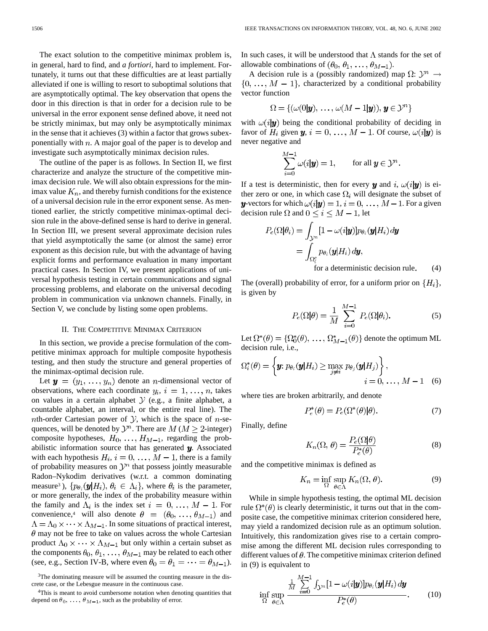The exact solution to the competitive minimax problem is, in general, hard to find, and *a fortiori,* hard to implement. Fortunately, it turns out that these difficulties are at least partially alleviated if one is willing to resort to suboptimal solutions that are asymptotically optimal. The key observation that opens the door in this direction is that in order for a decision rule to be universal in the error exponent sense defined above, it need not be strictly minimax, but may only be asymptotically minimax in the sense that it achieves (3) within a factor that grows subexponentially with  $n$ . A major goal of the paper is to develop and investigate such asymptotically minimax decision rules.

The outline of the paper is as follows. In Section II, we first characterize and analyze the structure of the competitive minimax decision rule. We will also obtain expressions for the minimax value  $K_n$ , and thereby furnish conditions for the existence of a universal decision rule in the error exponent sense. As mentioned earlier, the strictly competitive minimax-optimal decision rule in the above-defined sense is hard to derive in general. In Section III, we present several approximate decision rules that yield asymptotically the same (or almost the same) error exponent as this decision rule, but with the advantage of having explicit forms and performance evaluation in many important practical cases. In Section IV, we present applications of universal hypothesis testing in certain communications and signal processing problems, and elaborate on the universal decoding problem in communication via unknown channels. Finally, in Section V, we conclude by listing some open problems.

#### II. THE COMPETITIVE MINIMAX CRITERION

In this section, we provide a precise formulation of the competitive minimax approach for multiple composite hypothesis testing, and then study the structure and general properties of the minimax-optimal decision rule.

Let  $y = (y_1, \ldots, y_n)$  denote an *n*-dimensional vector of observations, where each coordinate  $y_i$ ,  $i = 1, \ldots, n$ , takes on values in a certain alphabet  $Y$  (e.g., a finite alphabet, a countable alphabet, an interval, or the entire real line). The nth-order Cartesian power of  $\mathcal{Y}$ , which is the space of *n*-sequences, will be denoted by  $\mathcal{Y}^n$ . There are  $M$  ( $M \geq 2$ -integer) composite hypotheses,  $H_0, \ldots, H_{M-1}$ , regarding the probabilistic information source that has generated  $y$ . Associated with each hypothesis  $H_i$ ,  $i = 0, ..., M - 1$ , there is a family of probability measures on  $\mathcal{Y}^n$  that possess jointly measurable Radon–Nykodim derivatives (w.r.t. a common dominating measure<sup>3</sup>),  $\{p_{\theta_i}(\boldsymbol{y}|H_i), \theta_i \in \Lambda_i\}$ , where  $\theta_i$  is the parameter, or more generally, the index of the probability measure within the family and  $\Lambda_i$  is the index set  $i = 0, \ldots, M - 1$ . For convenience,<sup>4</sup> will also denote  $\theta = (\theta_0, \dots, \theta_{M-1})$  and  $\Lambda = \Lambda_0 \times \cdots \times \Lambda_{M-1}$ . In some situations of practical interest,  $\theta$  may not be free to take on values across the whole Cartesian product  $\Lambda_0 \times \cdots \times \Lambda_{M-1}$  but only within a certain subset as the components  $\theta_0, \theta_1, \ldots, \theta_{M-1}$  may be related to each other (see, e.g., Section IV-B, where even  $\theta_0 = \theta_1 = \cdots = \theta_{M-1}$ ). In such cases, it will be understood that  $\Lambda$  stands for the set of allowable combinations of  $(\theta_0, \theta_1, \dots, \theta_{M-1})$ .

A decision rule is a (possibly randomized) map  $\Omega: \mathcal{Y}^n \to$  $\{0, \ldots, M-1\}$ , characterized by a conditional probability vector function

$$
\Omega = \{(\omega(0|{\boldsymbol y}),\, \dots,\, \omega(M-1|{\boldsymbol y})),\, {\boldsymbol y} \in {\mathcal Y}^n\}
$$

with  $\omega(i|\mathbf{y})$  being the conditional probability of deciding in favor of  $H_i$  given  $y, i = 0, ..., M - 1$ . Of course,  $\omega(i|y)$  is never negative and

$$
\sum_{i=0}^{M-1} \omega(i|\mathbf{y}) = 1, \quad \text{for all } \mathbf{y} \in \mathcal{Y}^n.
$$

If a test is deterministic, then for every y and i,  $\omega(i|\mathbf{y})$  is either zero or one, in which case  $\Omega_i$  will designate the subset of y-vectors for which  $\omega(i|\mathbf{y}) = 1$ ,  $i = 0, \ldots, M-1$ . For a given decision rule  $\Omega$  and  $0 \le i \le M - 1$ , let

$$
P_e(\Omega|\theta_i) = \int_{\mathcal{Y}^n} [1 - \omega(i|\mathbf{y})] p_{\theta_i}(\mathbf{y}|H_i) d\mathbf{y}
$$
  
= 
$$
\int_{\Omega_i^c} p_{\theta_i}(\mathbf{y}|H_i) d\mathbf{y},
$$
for a deterministic decision rule. (4)

for a deterministic decision rule.  $(4)$ 

The (overall) probability of error, for a uniform prior on  $\{H_i\}$ , is given by

$$
P_e(\Omega|\theta) = \frac{1}{M} \sum_{i=0}^{M-1} P_e(\Omega|\theta_i).
$$
 (5)

Let  $\Omega^*(\theta) = {\Omega_0^*(\theta), \ldots, \Omega_{M-1}^*(\theta)}$  denote the optimum ML decision rule, i.e.,

$$
\Omega_i^*(\theta) = \left\{ \mathbf{y}; \, p_{\theta_i}(\mathbf{y}|H_i) \ge \max_{j \neq i} p_{\theta_j}(\mathbf{y}|H_j) \right\},\qquad i = 0, \ldots, M-1 \quad (6)
$$

where ties are broken arbitrarily, and denote

$$
P_e^*(\theta) = P_e(\Omega^*(\theta)|\theta). \tag{7}
$$

Finally, define

$$
K_n(\Omega, \theta) = \frac{P_e(\Omega|\theta)}{P_e^*(\theta)}
$$
(8)

and the competitive minimax is defined as

$$
K_n = \inf_{\Omega} \sup_{\theta \in \Lambda} K_n(\Omega, \theta). \tag{9}
$$

While in simple hypothesis testing, the optimal ML decision rule  $\Omega^*(\theta)$  is clearly deterministic, it turns out that in the composite case, the competitive minimax criterion considered here, may yield a randomized decision rule as an optimum solution. Intuitively, this randomization gives rise to a certain compromise among the different ML decision rules corresponding to different values of  $\theta$ . The competitive minimax criterion defined in (9) is equivalent to

$$
\inf_{\Omega} \sup_{\theta \in \Lambda} \frac{\frac{1}{M} \sum_{i=0}^{M-1} \int_{\mathcal{Y}^n} [1 - \omega(i|\mathbf{y})] p_{\theta_i}(\mathbf{y}|H_i) d\mathbf{y}}{P_e^*(\theta)}.
$$
 (10)

<sup>3</sup>The dominating measure will be assumed the counting measure in the discrete case, or the Lebesgue measure in the continuous case.

<sup>4</sup>This is meant to avoid cumbersome notation when denoting quantities that depend on  $\theta_0, \ldots, \theta_{M-1}$ , such as the probability of error.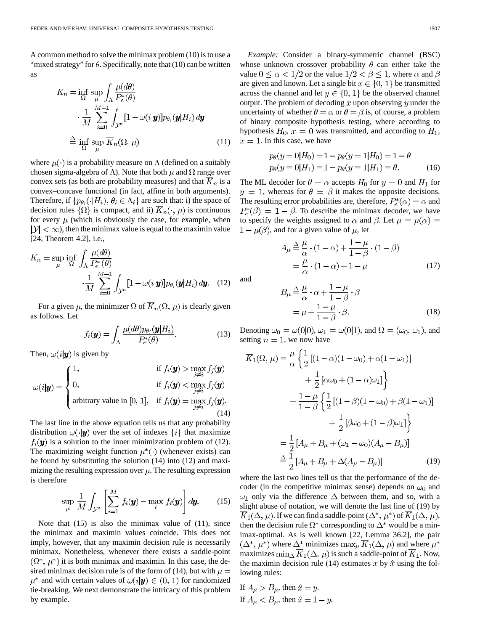A common method to solve the minimax problem (10) is to use a "mixed strategy" for  $\theta$ . Specifically, note that (10) can be written as

ولأناد

$$
K_n = \inf_{\Omega} \sup_{\mu} \int_{\Lambda} \frac{\mu(d\theta)}{P_e^*(\theta)}
$$
  

$$
\cdot \frac{1}{M} \sum_{i=0}^{M-1} \int_{\mathcal{Y}^n} [1 - \omega(i|\mathbf{y})] p_{\theta_i}(\mathbf{y}|H_i) d\mathbf{y}
$$
  

$$
\stackrel{\Delta}{=} \inf_{\Omega} \sup_{\mu} \overline{K}_n(\Omega, \mu)
$$
(11)

where  $\mu(\cdot)$  is a probability measure on  $\Lambda$  (defined on a suitably chosen sigma-algebra of  $\Lambda$ ). Note that both  $\mu$  and  $\Omega$  range over convex sets (as both are probability measures) and that  $\overline{K}_n$  is a convex–concave functional (in fact, affine in both arguments). Therefore, if  $\{p_{\theta_i}(\cdot | H_i), \theta_i \in \Lambda_i\}$  are such that: i) the space of decision rules  $\{\Omega\}$  is compact, and ii)  $\overline{K}_n(\cdot,\mu)$  is continuous for every  $\mu$  (which is obviously the case, for example, when  $|\mathcal{Y}| < \infty$ , then the minimax value is equal to the maximin value [24, Theorem 4.2], i.e.,

$$
K_n = \sup_{\mu} \inf_{\Omega} \int_{\Lambda} \frac{\mu(d\theta)}{P_e^*(\theta)} \n\cdot \frac{1}{M} \sum_{i=0}^{M-1} \int_{\mathcal{Y}^n} [1 - \omega(i|\mathbf{y})] p_{\theta_i}(\mathbf{y}|H_i) d\mathbf{y}.
$$
 (12)

For a given  $\mu$ , the minimizer  $\Omega$  of  $\overline{K}_n(\Omega, \mu)$  is clearly given as follows. Let

$$
f_i(\mathbf{y}) = \int_{\Lambda} \frac{\mu(d\theta) p_{\theta_i}(\mathbf{y}|H_i)}{P_e^*(\theta)}.
$$
 (13)

Then,  $\omega(i|\mathbf{y})$  is given by

$$
\omega(i|\mathbf{y}) = \begin{cases}\n1, & \text{if } f_i(\mathbf{y}) > \max_{j \neq i} f_j(\mathbf{y}) \\
0, & \text{if } f_i(\mathbf{y}) < \max_{j \neq i} f_j(\mathbf{y}) \\
\text{arbitrary value in } [0, 1], & \text{if } f_i(\mathbf{y}) = \max_{j \neq i} f_j(\mathbf{y}).\n\end{cases}
$$
\n(14)

The last line in the above equation tells us that any probability distribution  $\omega(\cdot|\mathbf{y})$  over the set of indexes  $\{i\}$  that maximize  $f_i(\mathbf{y})$  is a solution to the inner minimization problem of (12). The maximizing weight function  $\mu^*(\cdot)$  (whenever exists) can be found by substituting the solution (14) into (12) and maximizing the resulting expression over  $\mu$ . The resulting expression is therefore

$$
\sup_{\mu} \frac{1}{M} \int_{\mathcal{Y}^n} \left[ \sum_{i=1}^M f_i(\mathbf{y}) - \max_i f_i(\mathbf{y}) \right] d\mathbf{y}.
$$
 (15)

Note that  $(15)$  is also the minimax value of  $(11)$ , since the minimax and maximin values coincide. This does not imply, however, that any maximin decision rule is necessarily minimax. Nonetheless, whenever there exists a saddle-point  $(\Omega^*, \mu^*)$  it is both minimax and maximin. In this case, the desired minimax decision rule is of the form of (14), but with  $\mu =$  $\mu^*$  and with certain values of  $\omega(i|\mathbf{y}) \in (0, 1)$  for randomized tie-breaking. We next demonstrate the intricacy of this problem by example.

*Example:* Consider a binary-symmetric channel (BSC) whose unknown crossover probability  $\theta$  can either take the value  $0 \le \alpha < 1/2$  or the value  $1/2 < \beta \le 1$ , where  $\alpha$  and  $\beta$ are given and known. Let a single bit  $x \in \{0, 1\}$  be transmitted across the channel and let  $y \in \{0, 1\}$  be the observed channel output. The problem of decoding x upon observing y under the uncertainty of whether  $\theta = \alpha$  or  $\theta = \beta$  is, of course, a problem of binary composite hypothesis testing, where according to hypothesis  $H_0$ ,  $x = 0$  was transmitted, and according to  $H_1$ ,  $x = 1$ . In this case, we have

$$
p_{\theta}(y=0|H_0) = 1 - p_{\theta}(y=1|H_0) = 1 - \theta
$$
  
\n
$$
p_{\theta}(y=0|H_1) = 1 - p_{\theta}(y=1|H_1) = \theta.
$$
 (16)

The ML decoder for  $\theta = \alpha$  accepts  $H_0$  for  $y = 0$  and  $H_1$  for  $y = 1$ , whereas for  $\theta = \beta$  it makes the opposite decisions. The resulting error probabilities are, therefore,  $P_e^*(\alpha) = \alpha$  and  $P_e^*(\beta) = 1 - \beta$ . To describe the minimax decoder, we have to specify the weights assigned to  $\alpha$  and  $\beta$ . Let  $\mu = \mu(\alpha) =$  $1 - \mu(\beta)$ , and for a given value of  $\mu$ , let

$$
A_{\mu} \stackrel{\Delta}{=} \frac{\mu}{\alpha} \cdot (1 - \alpha) + \frac{1 - \mu}{1 - \beta} \cdot (1 - \beta)
$$
  
=  $\frac{\mu}{\alpha} \cdot (1 - \alpha) + 1 - \mu$  (17)

and

$$
B_{\mu} \stackrel{\Delta}{=} \frac{\mu}{\alpha} \cdot \alpha + \frac{1 - \mu}{1 - \beta} \cdot \beta
$$
  
=  $\mu + \frac{1 - \mu}{1 - \beta} \cdot \beta$ . (18)

Denoting  $\omega_0 = \omega(0|0), \omega_1 = \omega(0|1)$ , and  $\Omega = (\omega_0, \omega_1)$ , and setting  $n = 1$ , we now have

 $\mathbf{z}$ 

$$
\overline{K}_{1}(\Omega, \mu) = \frac{\mu}{\alpha} \left\{ \frac{1}{2} \left[ (1 - \alpha)(1 - \omega_{0}) + \alpha(1 - \omega_{1}) \right] + \frac{1}{2} \left[ \alpha \omega_{0} + (1 - \alpha) \omega_{1} \right] \right\} \n+ \frac{1 - \mu}{1 - \beta} \left\{ \frac{1}{2} \left[ (1 - \beta)(1 - \omega_{0}) + \beta(1 - \omega_{1}) \right] + \frac{1}{2} \left[ \beta \omega_{0} + (1 - \beta) \omega_{1} \right] \right\} \n= \frac{1}{2} \left[ A_{\mu} + B_{\mu} + (\omega_{1} - \omega_{0}) (A_{\mu} - B_{\mu}) \right] \n= \frac{1}{2} \left[ A_{\mu} + B_{\mu} + \Delta (A_{\mu} - B_{\mu}) \right]
$$
\n(19)

where the last two lines tell us that the performance of the decoder (in the competitive minimax sense) depends on  $\omega_0$  and  $\omega_1$  only via the difference  $\Delta$  between them, and so, with a slight abuse of notation, we will denote the last line of (19) by  $K_1(\Delta, \mu)$ . If we can find a saddle-point  $(\Delta^*, \mu^*)$  of  $K_1(\Delta, \mu)$ , then the decision rule  $\Omega^*$  corresponding to  $\Delta^*$  would be a minimax-optimal. As is well known [22, Lemma 36.2], the pair  $(\Delta^*, \mu^*)$  where  $\Delta^*$  minimizes  $\max_{\mu} \overline{K}_1(\Delta, \mu)$  and where  $\mu^*$ maximizes  $\min_{\Delta} \overline{K}_1(\Delta, \mu)$  is such a saddle-point of  $\overline{K}_1$ . Now, the maximin decision rule (14) estimates x by  $\hat{x}$  using the following rules:

If  $A_\mu > B_\mu$ , then  $\hat{x} = y$ . If  $A_\mu < B_\mu$ , then  $\hat{x} = 1 - y$ .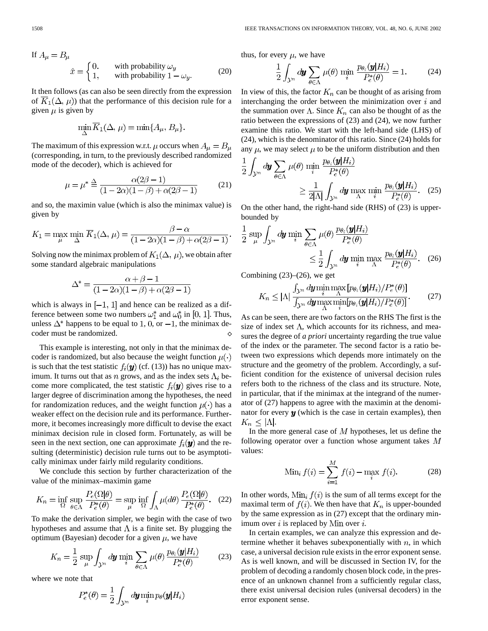If 
$$
A_{\mu} = B_{\mu}
$$
  
\n
$$
\hat{x} = \begin{cases}\n0, & \text{with probability } \omega_y \\
1, & \text{with probability } 1 - \omega_y.\n\end{cases}
$$
\n(20)

It then follows (as can also be seen directly from the expression of  $\overline{K}_1(\Delta, \mu)$  that the performance of this decision rule for a given  $\mu$  is given by

$$
\min_{\Delta} \overline{K}_1(\Delta, \mu) = \min\{A_\mu, B_\mu\}.
$$

The maximum of this expression w.r.t.  $\mu$  occurs when  $A_{\mu} = B_{\mu}$ (corresponding, in turn, to the previously described randomized mode of the decoder), which is achieved for

$$
\mu = \mu^* \stackrel{\Delta}{=} \frac{\alpha(2\beta - 1)}{(1 - 2\alpha)(1 - \beta) + \alpha(2\beta - 1)} \tag{21}
$$

and so, the maximin value (which is also the minimax value) is given by

$$
K_1 = \max_{\mu} \min_{\Delta} \overline{K}_1(\Delta, \mu) = \frac{\beta - \alpha}{(1 - 2\alpha)(1 - \beta) + \alpha(2\beta - 1)}.
$$

Solving now the minimax problem of  $K_1(\Delta, \mu)$ , we obtain after some standard algebraic manipulations

$$
\Delta^* = \frac{\alpha + \beta - 1}{(1 - 2\alpha)(1 - \beta) + \alpha(2\beta - 1)}
$$

which is always in  $[-1, 1]$  and hence can be realized as a difference between some two numbers  $\omega_1^*$  and  $\omega_0^*$  in [0, 1]. Thus, unless  $\Delta^*$  happens to be equal to 1, 0, or  $-1$ , the minimax decoder must be randomized.

This example is interesting, not only in that the minimax decoder is randomized, but also because the weight function  $\mu(\cdot)$ is such that the test statistic  $f_i(\mathbf{y})$  (cf. (13)) has no unique maximum. It turns out that as n grows, and as the index sets  $\Lambda_i$  become more complicated, the test statistic  $f_i(\mathbf{y})$  gives rise to a larger degree of discrimination among the hypotheses, the need for randomization reduces, and the weight function  $\mu(\cdot)$  has a weaker effect on the decision rule and its performance. Furthermore, it becomes increasingly more difficult to devise the exact minimax decision rule in closed form. Fortunately, as will be seen in the next section, one can approximate  $f_i(\boldsymbol{y})$  and the resulting (deterministic) decision rule turns out to be asymptotically minimax under fairly mild regularity conditions.

We conclude this section by further characterization of the value of the minimax–maximin game

$$
K_n = \inf_{\Omega} \sup_{\theta \in \Lambda} \frac{P_e(\Omega|\theta)}{P_e^*(\theta)} = \sup_{\mu} \inf_{\Omega} \int_{\Lambda} \mu(d\theta) \frac{P_e(\Omega|\theta)}{P_e^*(\theta)}. (22)
$$

To make the derivation simpler, we begin with the case of two hypotheses and assume that  $\Lambda$  is a finite set. By plugging the optimum (Bayesian) decoder for a given  $\mu$ , we have

$$
K_n = \frac{1}{2} \sup_{\mu} \int_{\mathcal{Y}^n} d\mathbf{y} \min_{i} \sum_{\theta \in \Lambda} \mu(\theta) \frac{p_{\theta_i}(\mathbf{y}|H_i)}{P_e^*(\theta)} \tag{23}
$$

where we note that

$$
P_e^*(\theta) = \frac{1}{2} \int_{\mathcal{Y}^n} d\bm{y} \min_i p_{\theta}(\bm{y}|H_i)
$$

thus, for every  $\mu$ , we have

$$
\frac{1}{2} \int_{\mathcal{Y}^n} d\mathbf{y} \sum_{\theta \in \Lambda} \mu(\theta) \min_i \frac{p_{\theta_i}(\mathbf{y}|H_i)}{P_e^*(\theta)} = 1. \tag{24}
$$

In view of this, the factor  $K_n$  can be thought of as arising from interchanging the order between the minimization over  $i$  and the summation over  $\Lambda$ . Since  $K_n$  can also be thought of as the ratio between the expressions of (23) and (24), we now further examine this ratio. We start with the left-hand side (LHS) of (24), which is the denominator of this ratio. Since (24) holds for any  $\mu$ , we may select  $\mu$  to be the uniform distribution and then

$$
\frac{1}{2} \int_{\mathcal{Y}^n} d\mathbf{y} \sum_{\theta \in \Lambda} \mu(\theta) \min_{i} \frac{p_{\theta_i}(\mathbf{y}|H_i)}{P_e^*(\theta)} \ge \frac{1}{2|\Lambda|} \int_{\mathcal{Y}^n} d\mathbf{y} \max_{\Lambda} \min_{i} \frac{p_{\theta_i}(\mathbf{y}|H_i)}{P_e^*(\theta)}. (25)
$$

On the other hand, the right-hand side (RHS) of (23) is upperbounded by

$$
\frac{1}{2} \sup_{\mu} \int_{\mathcal{Y}^n} d\mathbf{y} \min_{i} \sum_{\theta \in \Lambda} \mu(\theta) \frac{p_{\theta_i}(\mathbf{y}|H_i)}{P_e^*(\theta)} \le \frac{1}{2} \int_{\mathcal{Y}^n} d\mathbf{y} \min_{i} \max_{\Lambda} \frac{p_{\theta_i}(\mathbf{y}|H_i)}{P_e^*(\theta)}. (26)
$$

Combining  $(23)$ – $(26)$ , we get

$$
K_n \leq |\Lambda| \frac{\int_{\mathcal{Y}^n} d\mathbf{y} \min_{i} \max_{\Lambda} [p_{\theta_i}(\mathbf{y}|H_i)/P_e^*(\theta)]}{\int_{\mathcal{Y}^n} d\mathbf{y} \max_{\Lambda} \min_{i} [p_{\theta_i}(\mathbf{y}|H_i)/P_e^*(\theta)]}.
$$
(27)

As can be seen, there are two factors on the RHS The first is the size of index set  $\Lambda$ , which accounts for its richness, and measures the degree of *a priori* uncertainty regarding the true value of the index or the parameter. The second factor is a ratio between two expressions which depends more intimately on the structure and the geometry of the problem. Accordingly, a sufficient condition for the existence of universal decision rules refers both to the richness of the class and its structure. Note, in particular, that if the minimax at the integrand of the numerator of (27) happens to agree with the maximin at the denominator for every  $y$  (which is the case in certain examples), then  $K_n \leq |\Lambda|$ .

In the more general case of  $M$  hypotheses, let us define the following operator over a function whose argument takes  $M$ values:

Min<sub>i</sub> 
$$
f(i) = \sum_{i=1}^{M} f(i) - \max_{i} f(i).
$$
 (28)

In other words,  $\text{Min}_i f(i)$  is the sum of all terms except for the maximal term of  $f(i)$ . We then have that  $K_n$  is upper-bounded by the same expression as in (27) except that the ordinary minimum over  $i$  is replaced by Min over  $i$ .

In certain examples, we can analyze this expression and determine whether it behaves subexponentially with  $n$ , in which case, a universal decision rule exists in the error exponent sense. As is well known, and will be discussed in Section IV, for the problem of decoding a randomly chosen block code, in the presence of an unknown channel from a sufficiently regular class, there exist universal decision rules (universal decoders) in the error exponent sense.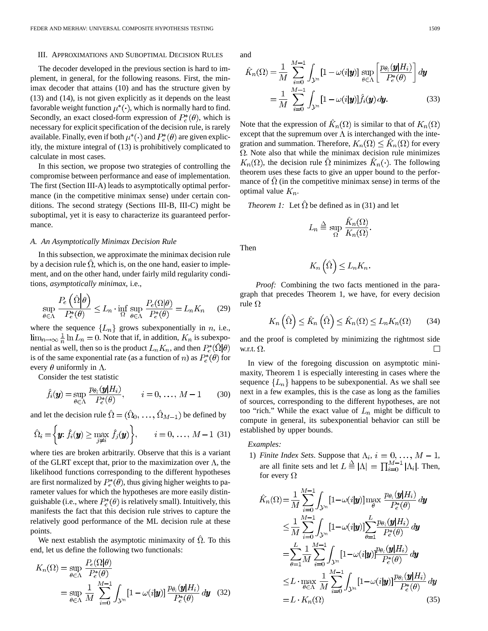#### III. APPROXIMATIONS AND SUBOPTIMAL DECISION RULES

The decoder developed in the previous section is hard to implement, in general, for the following reasons. First, the minimax decoder that attains (10) and has the structure given by (13) and (14), is not given explicitly as it depends on the least favorable weight function  $\mu^*(\cdot)$ , which is normally hard to find. Secondly, an exact closed-form expression of  $P_e^*(\theta)$ , which is necessary for explicit specification of the decision rule, is rarely available. Finally, even if both  $\mu^*(\cdot)$  and  $P_e^*(\theta)$  are given explicitly, the mixture integral of (13) is prohibitively complicated to calculate in most cases.

In this section, we propose two strategies of controlling the compromise between performance and ease of implementation. The first (Section III-A) leads to asymptotically optimal performance (in the competitive minimax sense) under certain conditions. The second strategy (Sections III-B, III-C) might be suboptimal, yet it is easy to characterize its guaranteed performance.

# *A. An Asymptotically Minimax Decision Rule*

In this subsection, we approximate the minimax decision rule by a decision rule  $\Omega$ , which is, on the one hand, easier to implement, and on the other hand, under fairly mild regularity conditions, *asymptotically minimax*, i.e.,

$$
\sup_{\theta \in \Lambda} \frac{P_e\left(\hat{\Omega} \middle| \theta\right)}{P_e^*(\theta)} \le L_n \cdot \inf_{\Omega} \sup_{\theta \in \Lambda} \frac{P_e(\Omega \middle| \theta\right)}{P_e^*(\theta)} = L_n K_n \tag{29}
$$

where the sequence  ${L_n}$  grows subexponentially in *n*, i.e.,  $\lim_{n\to\infty}\frac{1}{n}\ln L_n=0$ . Note that if, in addition,  $K_n$  is subexponential as well, then so is the product  $L_n K_n$ , and then  $P_e^*(\Omega | \theta)$ is of the same exponential rate (as a function of *n*) as  $P_e^*(\theta)$  for every  $\theta$  uniformly in  $\Lambda$ .

Consider the test statistic

$$
\hat{f}_i(\mathbf{y}) = \sup_{\theta \in \Lambda} \frac{p_{\theta_i}(\mathbf{y}|H_i)}{P_e^*(\theta)}, \qquad i = 0, \ldots, M-1 \qquad (30)
$$

and let the decision rule  $\hat{\Omega} = (\hat{\Omega}_0, \dots, \hat{\Omega}_{M-1})$  be defined by

$$
\hat{\Omega}_i = \left\{ \boldsymbol{y}; \hat{f}_i(\boldsymbol{y}) \ge \max_{j \neq i} \hat{f}_j(\boldsymbol{y}) \right\}, \qquad i = 0, \ldots, M-1 \tag{31}
$$

where ties are broken arbitrarily. Observe that this is a variant of the GLRT except that, prior to the maximization over  $\Lambda$ , the likelihood functions corresponding to the different hypotheses are first normalized by  $P_e^*(\theta)$ , thus giving higher weights to parameter values for which the hypotheses are more easily distinguishable (i.e., where  $P_e^*(\theta)$  is relatively small). Intuitively, this manifests the fact that this decision rule strives to capture the relatively good performance of the ML decision rule at these points.

We next establish the asymptotic minimaxity of  $\Omega$ . To this end, let us define the following two functionals:

$$
K_n(\Omega) = \sup_{\theta \in \Lambda} \frac{P_e(\Omega|\theta)}{P_e^*(\theta)}
$$
  
= 
$$
\sup_{\theta \in \Lambda} \frac{1}{M} \sum_{i=0}^{M-1} \int_{\mathcal{Y}^n} [1 - \omega(i|\mathbf{y})] \frac{p_{\theta_i}(\mathbf{y}|H_i)}{P_e^*(\theta)} d\mathbf{y}
$$
 (32)

and

. . .

$$
\hat{K}_n(\Omega) = \frac{1}{M} \sum_{i=0}^{M-1} \int_{\mathcal{Y}^n} [1 - \omega(i|\mathbf{y})] \sup_{\theta \in \Lambda} \left[ \frac{p_{\theta_i}(\mathbf{y}|H_i)}{P_e^*(\theta)} \right] d\mathbf{y}
$$

$$
= \frac{1}{M} \sum_{i=0}^{M-1} \int_{\mathcal{Y}^n} [1 - \omega(i|\mathbf{y})] \hat{f}_i(\mathbf{y}) d\mathbf{y}.
$$
(33)

Note that the expression of  $\hat{K}_n(\Omega)$  is similar to that of  $K_n(\Omega)$ except that the supremum over  $\Lambda$  is interchanged with the integration and summation. Therefore,  $K_n(\Omega) \leq \hat{K}_n(\Omega)$  for every  $\Omega$ . Note also that while the minimax decision rule minimizes  $K_n(\Omega)$ , the decision rule  $\hat{\Omega}$  minimizes  $\hat{K}_n(\cdot)$ . The following theorem uses these facts to give an upper bound to the performance of  $\Omega$  (in the competitive minimax sense) in terms of the optimal value  $K_n$ .

*Theorem 1:* Let  $\hat{\Omega}$  be defined as in (31) and let

$$
L_n \stackrel{\Delta}{=} \sup_{\Omega} \frac{\hat{K}_n(\Omega)}{K_n(\Omega)}.
$$

Then

$$
K_n\left(\hat{\Omega}\right) \leq L_n K_n.
$$

*Proof:* Combining the two facts mentioned in the paragraph that precedes Theorem 1, we have, for every decision rule $\Omega$ 

$$
K_n\left(\hat{\Omega}\right) \leq \hat{K}_n\left(\hat{\Omega}\right) \leq \hat{K}_n(\Omega) \leq L_n K_n(\Omega) \qquad (34)
$$

and the proof is completed by minimizing the rightmost side w.r.t.  $\Omega$ .

In view of the foregoing discussion on asymptotic minimaxity, Theorem 1 is especially interesting in cases where the sequence  ${L_n}$  happens to be subexponential. As we shall see next in a few examples, this is the case as long as the families of sources, corresponding to the different hypotheses, are not too "rich." While the exact value of  $L_n$  might be difficult to compute in general, its subexponential behavior can still be established by upper bounds.

# *Examples:*

1) *Finite Index Sets.* Suppose that  $\Lambda_i$ ,  $i = 0, \ldots, M - 1$ , are all finite sets and let  $L \triangleq |\Lambda| = \prod_{i=0}^{M-1} |\Lambda_i|$ . Then, for every  $\Omega$ 

$$
\hat{K}_n(\Omega) = \frac{1}{M} \sum_{i=0}^{M-1} \int_{\mathcal{Y}^n} \left[1 - \omega(i|\mathbf{y})\right] \max_{\theta} \frac{p_{\theta_i}(\mathbf{y}|H_i)}{P_e^*(\theta)} d\mathbf{y}
$$
\n
$$
\leq \frac{1}{M} \sum_{i=0}^{M-1} \int_{\mathcal{Y}^n} \left[1 - \omega(i|\mathbf{y})\right] \sum_{\theta=1}^L \frac{p_{\theta_i}(\mathbf{y}|H_i)}{P_e^*(\theta)} d\mathbf{y}
$$
\n
$$
= \sum_{\theta=1}^L \frac{1}{M} \sum_{i=0}^{M-1} \int_{\mathcal{Y}^n} \left[1 - \omega(i|\mathbf{y})\right] \frac{p_{\theta_i}(\mathbf{y}|H_i)}{P_e^*(\theta)} d\mathbf{y}
$$
\n
$$
\leq L \cdot \max_{\theta \in \Lambda} \frac{1}{M} \sum_{i=0}^{M-1} \int_{\mathcal{Y}^n} \left[1 - \omega(i|\mathbf{y})\right] \frac{p_{\theta_i}(\mathbf{y}|H_i)}{P_e^*(\theta)} d\mathbf{y}
$$
\n
$$
= L \cdot K_n(\Omega) \tag{35}
$$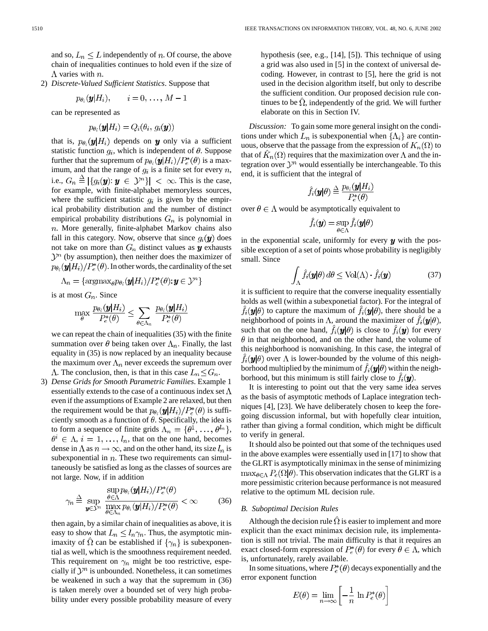and so,  $L_n \leq L$  independently of *n*. Of course, the above chain of inequalities continues to hold even if the size of  $\Lambda$  varies with  $n$ .

2) *Discrete-Valued Sufficient Statistics*. Suppose that

$$
p_{\theta_i}(\mathbf{y}|H_i), \qquad i=0,\ldots,M-1
$$

can be represented as

$$
p_{\theta_i}(\mathbf{y}|H_i) = Q_i(\theta_i, g_i(\mathbf{y}))
$$

that is,  $p_{\theta_i}(\mathbf{y}|H_i)$  depends on **y** only via a sufficient statistic function  $q_i$ , which is independent of  $\theta$ . Suppose further that the supremum of  $p_{\theta_i}(\mathbf{y}|H_i)/P_e^*(\theta)$  is a maximum, and that the range of  $g_i$  is a finite set for every  $n$ , i.e.,  $G_n \triangleq |\{g_i(\mathbf{y}): \mathbf{y} \in \mathcal{Y}^n\}| < \infty$ . This is the case, for example, with finite-alphabet memoryless sources, where the sufficient statistic  $g_i$  is given by the empirical probability distribution and the number of distinct empirical probability distributions  $G_n$  is polynomial in  $n.$  More generally, finite-alphabet Markov chains also fall in this category. Now, observe that since  $g_i(\mathbf{y})$  does not take on more than  $G_n$  distinct values as  $y$  exhausts  $\mathcal{Y}^n$  (by assumption), then neither does the maximizer of  $p_{\theta_i}(\mathbf{y}|H_i)/P_e^*(\theta)$ . In other words, the cardinality of the set

$$
\Lambda_n = \{\text{argmax}_{\theta} p_{\theta_i}(\bm{y}|H_i)/P_e^*(\theta); \bm{y} \in \mathcal{Y}^n\}
$$

is at most  $G_n$ . Since

$$
\max_{\theta} \frac{p_{\theta_i}(\mathbf{y}|H_i)}{P_e^*(\theta)} \le \sum_{\theta \in \Lambda_n} \frac{p_{\theta_i}(\mathbf{y}|H_i)}{P_e^*(\theta)}
$$

we can repeat the chain of inequalities (35) with the finite summation over  $\theta$  being taken over  $\Lambda_n$ . Finally, the last equality in (35) is now replaced by an inequality because the maximum over  $\Lambda_n$  never exceeds the supremum over  $\Lambda$ . The conclusion, then, is that in this case  $L_n \leq G_n$ .

3) *Dense Grids for Smooth Parametric Families*. Example 1 essentially extends to the case of a continuous index set  $\Lambda$ even if the assumptions of Example 2 are relaxed, but then the requirement would be that  $p_{\theta_i}(\mathbf{y}|H_i)/P_e^*(\theta)$  is sufficiently smooth as a function of  $\theta$ . Specifically, the idea is to form a sequence of finite grids  $\Lambda_n = \{\theta^1, \ldots, \theta^{l_n}\},\$  $\theta^i \in \Lambda$ ,  $i = 1, \ldots, l_n$ , that on the one hand, becomes dense in  $\Lambda$  as  $n \to \infty$ , and on the other hand, its size  $l_n$  is subexponential in  $n$ . These two requirements can simultaneously be satisfied as long as the classes of sources are not large. Now, if in addition

$$
\gamma_n \stackrel{\Delta}{=} \sup_{\mathbf{y} \in \mathcal{Y}^n} \frac{\sup_{\theta \in \Lambda} p_{\theta_i}(\mathbf{y}|H_i)/P_e^*(\theta)}{\max_{\theta \in \Lambda_n} p_{\theta_i}(\mathbf{y}|H_i)/P_e^*(\theta)} < \infty \tag{36}
$$

then again, by a similar chain of inequalities as above, it is easy to show that  $L_n \leq l_n \gamma_n$ . Thus, the asymptotic minimaxity of  $\Omega$  can be established if  $\{\gamma_n\}$  is subexponential as well, which is the smoothness requirement needed. This requirement on  $\gamma_n$  might be too restrictive, especially if  $\mathcal{Y}^n$  is unbounded. Nonetheless, it can sometimes be weakened in such a way that the supremum in (36) is taken merely over a bounded set of very high probability under every possible probability measure of every

hypothesis (see, e.g., [14], [5]). This technique of using a grid was also used in [5] in the context of universal decoding. However, in contrast to [5], here the grid is not used in the decision algorithm itself, but only to describe the sufficient condition. Our proposed decision rule continues to be  $\Omega$ , independently of the grid. We will further elaborate on this in Section IV.

*Discussion:* To gain some more general insight on the conditions under which  $L_n$  is subexponential when  $\{\Lambda_i\}$  are continuous, observe that the passage from the expression of  $K_n(\Omega)$  to that of  $K_n(\Omega)$  requires that the maximization over  $\Lambda$  and the integration over  $\mathcal{Y}^n$  would essentially be interchangeable. To this end, it is sufficient that the integral of

$$
\hat{f}_i(\mathbf{y}|\theta) \stackrel{\Delta}{=} \frac{p_{\theta_i}(\mathbf{y}|H_i)}{P_e^*(\theta)}
$$

over  $\theta \in \Lambda$  would be asymptotically equivalent to

$$
\widehat{f}_{i}(\boldsymbol{y})=\sup_{\theta\in\Lambda}\widehat{f}_{i}(\boldsymbol{y}|\theta)
$$

in the exponential scale, uniformly for every  $y$  with the possible exception of a set of points whose probability is negligibly small. Since

$$
\int_{\Lambda} \hat{f}_i(\mathbf{y}|\theta) d\theta \le \text{Vol}(\Lambda) \cdot \hat{f}_i(\mathbf{y})
$$
\n(37)

it is sufficient to require that the converse inequality essentially holds as well (within a subexponetial factor). For the integral of  $\hat{f}_i(\mathbf{y}|\theta)$  to capture the maximum of  $\hat{f}_i(\mathbf{y}|\theta)$ , there should be a neighborhood of points in  $\Lambda$ , around the maximizer of  $\hat{f}_i(\mathbf{y}|\theta)$ , such that on the one hand,  $\hat{f}_i(\mathbf{y}|\theta)$  is close to  $\hat{f}_i(\mathbf{y})$  for every  $\theta$  in that neighborhood, and on the other hand, the volume of this neighborhood is nonvanishing. In this case, the integral of  $\hat{f}_i(\mathbf{y}|\theta)$  over  $\Lambda$  is lower-bounded by the volume of this neighborhood multiplied by the minimum of  $f_i(\mathbf{y}|\theta)$  within the neighborhood, but this minimum is still fairly close to  $f_i(\mathbf{y})$ .

It is interesting to point out that the very same idea serves as the basis of asymptotic methods of Laplace integration techniques [4], [23]. We have deliberately chosen to keep the foregoing discussion informal, but with hopefully clear intuition, rather than giving a formal condition, which might be difficult to verify in general.

It should also be pointed out that some of the techniques used in the above examples were essentially used in [17] to show that the GLRT is asymptotically minimax in the sense of minimizing  $\max_{\theta \in \Lambda} P_e(\Omega | \theta)$ . This observation indicates that the GLRT is a more pessimistic criterion because performance is not measured relative to the optimum ML decision rule.

# *B. Suboptimal Decision Rules*

Although the decision rule  $\hat{\Omega}$  is easier to implement and more explicit than the exact minimax decision rule, its implementation is still not trivial. The main difficulty is that it requires an exact closed-form expression of  $P_e^*(\theta)$  for every  $\theta \in \Lambda$ , which is, unfortunately, rarely available.

In some situations, where  $P_e^*(\theta)$  decays exponentially and the error exponent function

$$
E(\theta) = \lim_{n \to \infty} \left[ -\frac{1}{n} \ln P_e^*(\theta) \right]
$$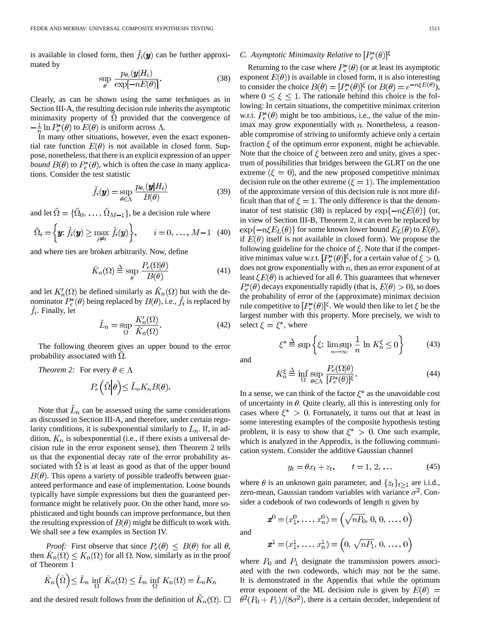is available in closed form, then  $\hat{f}_i(\mathbf{y})$  can be further approximated by

$$
\sup_{\theta} \frac{p_{\theta_i}(\mathbf{y}|H_i)}{\exp[-nE(\theta)]}.
$$
\n(38)

Clearly, as can be shown using the same techniques as in Section III-A, the resulting decision rule inherits the asymptotic minimaxity property of  $\hat{\Omega}$  provided that the convergence of  $-\frac{1}{n}\ln P_e^*(\theta)$  to  $E(\theta)$  is uniform across  $\Lambda$ .

In many other situations, however, even the exact exponential rate function  $E(\theta)$  is not available in closed form. Suppose, nonetheless, that there is an explicit expression of an *upper bound*  $B(\theta)$  to  $P_e^*(\theta)$ , which is often the case in many applications. Consider the test statistic

$$
\tilde{f}_i(\mathbf{y}) = \sup_{\theta \in \Lambda} \frac{p_{\theta_i}(\mathbf{y}|H_i)}{B(\theta)} \tag{39}
$$

and let  $\tilde{\Omega} = {\tilde{\Omega}_0, \ldots, \tilde{\Omega}_{M-1}}$ , be a decision rule where

$$
\tilde{\Omega}_i = \left\{ \boldsymbol{y}; \,\tilde{f}_i(\boldsymbol{y}) \ge \max_{j \neq i} \,\tilde{f}_i(\boldsymbol{y}) \right\}, \qquad i = 0, \ldots, M-1 \quad (40)
$$

and where ties are broken arbitrarily. Now, define

$$
\tilde{K}_n(\Omega) \stackrel{\Delta}{=} \sup_{\theta} \frac{P_e(\Omega|\theta)}{B(\theta)} \tag{41}
$$

and let  $K'_n(\Omega)$  be defined similarly as  $\hat{K}_n(\Omega)$  but with the denominator  $P_e^*(\theta)$  being replaced by  $B(\theta)$ , i.e.,  $f_i$  is replaced by  $f_i$ . Finally, let

$$
\tilde{L}_n = \sup_{\Omega} \frac{K'_n(\Omega)}{\tilde{K}_n(\Omega)}.
$$
\n(42)

The following theorem gives an upper bound to the error probability associated with  $\Omega$ .

*Theorem 2:* For every  $\theta \in \Lambda$ 

$$
P_e\left(\tilde{\Omega}\middle|\theta\right) \leq \tilde{L}_n K_n B(\theta).
$$

Note that  $L_n$  can be assessed using the same considerations as discussed in Section III-A, and therefore, under certain regularity conditions, it is subexponential similarly to  $L_n$ . If, in addition,  $K_n$  is subexponential (i.e., if there exists a universal decision rule in the error exponent sense), then Theorem 2 tells us that the exponential decay rate of the error probability associated with  $\Omega$  is at least as good as that of the upper bound  $B(\theta)$ . This opens a variety of possible tradeoffs between guaranteed performance and ease of implementation. Loose bounds typically have simple expressions but then the guaranteed performance might be relatively poor. On the other hand, more sophisticated and tight bounds can improve performance, but then the resulting expression of  $B(\theta)$  might be difficult to work with. We shall see a few examples in Section IV.

*Proof:* First observe that since  $P_e(\theta) \leq B(\theta)$  for all  $\theta$ , then  $K_n(\Omega) \le K_n(\Omega)$  for all  $\Omega$ . Now, similarly as in the proof of Theorem 1

$$
\tilde{K}_n\left(\tilde{\Omega}\right) \leq \tilde{L}_n \inf_{\Omega} \tilde{K}_n(\Omega) \leq \tilde{L}_n \inf_{\Omega} K_n(\Omega) = \tilde{L}_n K_n
$$

and the desired result follows from the definition of  $\tilde{K}_n(\Omega)$ .

# *C. Asymptotic Minimaxity Relative to*  $[P_e^*(\theta)]^{\xi}$

Returning to the case where  $P_e^*(\theta)$  (or at least its asymptotic exponent  $E(\theta)$  is available in closed form, it is also interesting to consider the choice  $B(\theta) = [P_e^*(\theta)]^{\xi}$  (or  $B(\theta) = e^{-n\xi E(\theta)}$ ), where  $0 \le \xi \le 1$ . The rationale behind this choice is the following: In certain situations, the competitive minimax criterion w.r.t.  $P_e^*(\theta)$  might be too ambitious, i.e., the value of the minimax may grow exponentially with  $n$ . Nonetheless, a reasonable compromise of striving to uniformly achieve only a certain fraction  $\xi$  of the optimum error exponent, might be achievable. Note that the choice of  $\xi$  between zero and unity, gives a spectrum of possibilities that bridges between the GLRT on the one extreme ( $\xi = 0$ ), and the new proposed competitive minimax decision rule on the other extreme  $(\xi = 1)$ . The implementation of the approximate version of this decision rule is not more difficult than that of  $\xi = 1$ . The only difference is that the denominator of test statistic (38) is replaced by  $\exp\{-n\xi E(\theta)\}\$  (or, in view of Section III-B, Theorem 2, it can even be replaced by  $\exp\{-n\xi E_L(\theta)\}\$ for some known lower bound  $E_L(\theta)$  to  $E(\theta)$ , if  $E(\theta)$  itself is not available in closed form). We propose the following guideline for the choice of  $\xi$ . Note that if the competitive minimax value w.r.t.  $[P_e^*(\theta)]^{\xi}$ , for a certain value of  $\xi > 0$ , does not grow exponentially with  $n$ , then an error exponent of at least  $\xi E(\theta)$  is achieved for all  $\theta$ . This guarantees that whenever  $P_e^*(\theta)$  decays exponentially rapidly (that is,  $E(\theta) > 0$ ), so does the probability of error of the (approximate) minimax decision rule competitive to  $[P_e^*(\theta)]^{\xi}$ . We would then like to let  $\xi$  be the largest number with this property. More precisely, we wish to select  $\xi = \xi^*$ , where

$$
\xi^* \stackrel{\Delta}{=} \sup \left\{ \xi \colon \limsup_{n \to \infty} \frac{1}{n} \ln K_n^{\xi} \le 0 \right\} \tag{43}
$$

and

$$
K_n^{\xi} \stackrel{\Delta}{=} \inf_{\Omega} \sup_{\theta \in \Lambda} \frac{P_e(\Omega|\theta)}{[P_e^*(\theta)]^{\xi}}.
$$
 (44)

In a sense, we can think of the factor  $\xi^*$  as the unavoidable cost of uncertainty in  $\theta$ . Quite clearly, all this is interesting only for cases where  $\xi^* > 0$ . Fortunately, it turns out that at least in some interesting examples of the composite hypothesis testing problem, it is easy to show that  $\xi^* > 0$ . One such example, which is analyzed in the Appendix, is the following communication system. Consider the additive Gaussian channel

$$
y_t = \theta x_t + z_t, \qquad t = 1, 2, \dots \tag{45}
$$

where  $\theta$  is an unknown gain parameter, and  $\{z_t\}_{t>1}$  are i.i.d., zero-mean, Gaussian random variables with variance  $\sigma^2$ . Consider a codebook of two codewords of length  $n$  given by

 $\boldsymbol{x}^{0} = (x_{1}^{0}, \ldots, x_{n}^{0}) = (\sqrt{nP_{0}}, 0, 0, \ldots, 0)$ 

and

$$
\boldsymbol{x}^1 = (x_1^1, \ldots, x_n^1) = \left(0, \sqrt{n_1}, 0, \ldots, 0\right)
$$

where  $P_0$  and  $P_1$  designate the transmission powers associated with the two codewords, which may not be the same. It is demonstrated in the Appendix that while the optimum error exponent of the ML decision rule is given by  $E(\theta)$  =  $\theta^2(P_0+P_1)/(8\sigma^2)$ , there is a certain decoder, independent of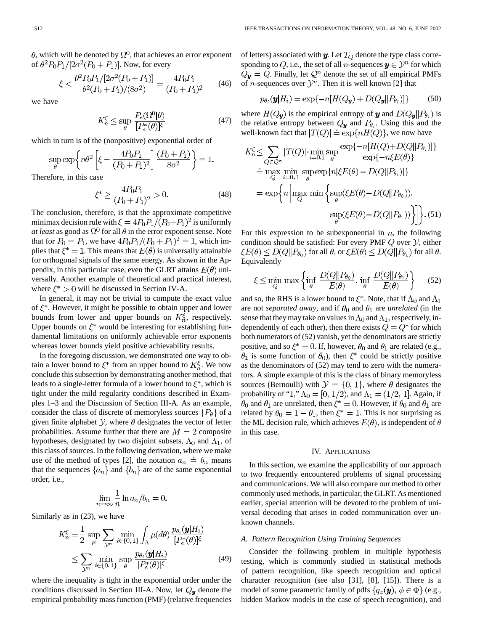$\theta$ , which will be denoted by  $\Omega^0$ , that achieves an error exponent of  $\theta^2 P_0 P_1/[2\sigma^2(P_0+P_1)]$ . Now, for every

$$
\xi < \frac{\theta^2 P_0 P_1 / [2\sigma^2 (P_0 + P_1)]}{\theta^2 (P_0 + P_1) / (8\sigma^2)} = \frac{4P_0 P_1}{(P_0 + P_1)^2} \tag{46}
$$

we have

$$
K_n^{\xi} \le \sup_{\theta} \frac{P_e(\Omega^0|\theta)}{[P_e^*(\theta)]^{\xi}} \tag{47}
$$

which in turn is of the (nonpositive) exponential order of

$$
\sup_{\theta} \exp\left\{n\theta^2 \left[\xi - \frac{4P_0P_1}{(P_0 + P_1)^2}\right] \frac{(P_0 + P_1)}{8\sigma^2}\right\} = 1.
$$

Therefore, in this case

$$
\xi^* \ge \frac{4P_0P_1}{(P_0 + P_1)^2} > 0. \tag{48}
$$

The conclusion, therefore, is that the approximate competitive minimax decision rule with  $\xi = 4P_0P_1/(P_0+P_1)^2$  is uniformly *at least* as good as  $\Omega^0$  for all  $\theta$  in the error exponent sense. Note that for  $P_0 = P_1$ , we have  $4P_0P_1/(P_0 + P_1)^2 = 1$ , which implies that  $\xi^* = 1$ . This means that  $E(\theta)$  is universally attainable for orthogonal signals of the same energy. As shown in the Appendix, in this particular case, even the GLRT attains  $E(\theta)$  universally. Another example of theoretical and practical interest, where  $\xi^* > 0$  will be discussed in Section IV-A.

In general, it may not be trivial to compute the exact value of  $\xi^*$ . However, it might be possible to obtain upper and lower bounds from lower and upper bounds on  $K_n^{\xi}$ , respectively. Upper bounds on  $\xi^*$  would be interesting for establishing fundamental limitations on uniformly achievable error exponents whereas lower bounds yield positive achievability results.

In the foregoing discussion, we demonstrated one way to obtain a lower bound to  $\xi^*$  from an upper bound to  $K_n^{\xi}$ . We now conclude this subsection by demonstrating another method, that leads to a single-letter formula of a lower bound to  $\xi^*$ , which is tight under the mild regularity conditions described in Examples 1–3 and the Discussion of Section III-A. As an example, consider the class of discrete of memoryless sources  $\{P_{\theta}\}\$  of a given finite alphabet  $\mathcal{Y}$ , where  $\theta$  designates the vector of letter probabilities. Assume further that there are  $M = 2$  composite hypotheses, designated by two disjoint subsets,  $\Lambda_0$  and  $\Lambda_1$ , of this class of sources. In the following derivation, where we make use of the method of types [2], the notation  $a_n \doteq b_n$  means that the sequences  $\{a_n\}$  and  $\{b_n\}$  are of the same exponential order, i.e.,

$$
\lim_{n \to \infty} \frac{1}{n} \ln a_n / b_n = 0.
$$

Similarly as in (23), we have

$$
K_n^{\xi} = \frac{1}{2} \sup_{\mu} \sum_{\mathcal{Y}^n} \min_{i \in \{0, 1\}} \int_{\Lambda} \mu(d\theta) \frac{p_{\theta_i}(\mathbf{y}|H_i)}{[P_e^*(\theta)]^{\xi}}
$$
  

$$
\leq \sum_{\mathcal{Y}^n} \min_{i \in \{0, 1\}} \sup_{\theta} \frac{p_{\theta_i}(\mathbf{y}|H_i)}{[P_e^*(\theta)]^{\xi}} \tag{49}
$$

where the inequality is tight in the exponential order under the conditions discussed in Section III-A. Now, let  $Q_y$  denote the empirical probability mass function (PMF) (relative frequencies of letters) associated with  $y$ . Let  $T_Q$  denote the type class corresponding to Q, i.e., the set of all *n*-sequences  $y \in \mathcal{Y}^n$  for which  $Q_{\mathbf{y}} = Q$ . Finally, let  $Q^n$  denote the set of all empirical PMFs of *n*-sequences over  $\mathcal{Y}^n$ . Then it is well known [2] that

$$
p_{\theta_i}(\mathbf{y}|H_i) = \exp\{-n[H(Q_{\mathbf{y}}) + D(Q_{\mathbf{y}}||P_{\theta_i})]\}\
$$
 (50)

where  $H(Q_y)$  is the empirical entropy of y and  $D(Q_y||P_{\theta_i})$  is the relative entropy between  $Q_{\boldsymbol{y}}$  and  $P_{\theta_i}$ . Using this and the well-known fact that  $|T(Q)| \doteq \exp\{nH(Q)\}\)$ , we now have

$$
K_n^{\xi} \leq \sum_{Q \in \mathcal{Q}^n} |T(Q)| \cdot \min_{i=0,1} \sup_{\theta} \frac{\exp\{-n[H(Q) + D(Q||P_{\theta_i})]\}}{\exp\{-n\xi E(\theta)\}}
$$
  
\n
$$
\doteq \max_{Q} \min_{i=0,1} \sup_{\theta} \exp\{n[\xi E(\theta) - D(Q||P_{\theta_i})]\}
$$
  
\n
$$
= \exp\left\{n \left[\max_{Q} \min\left\{\sup_{\theta} (\xi E(\theta) - D(Q||P_{\theta_0})),\sup_{\theta} (\xi E(\theta) - D(Q||P_{\theta_1}))\right\}\right]\right\}.
$$
 (51)

For this expression to be subexponential in  $n$ , the following condition should be satisfied: For every PMF  $Q$  over  $Y$ , either  $\xi E(\theta) \leq D(Q||P_{\theta_0})$  for all  $\theta$ , or  $\xi E(\theta) \leq D(Q||P_{\theta_1})$  for all  $\theta$ . Equivalently

$$
\xi \le \min_{Q} \max \left\{ \inf_{\theta} \frac{D(Q||P_{\theta_0})}{E(\theta)}, \inf_{\theta} \frac{D(Q||P_{\theta_1})}{E(\theta)} \right\} \tag{52}
$$

and so, the RHS is a lower bound to  $\xi^*$ . Note, that if  $\Lambda_0$  and  $\Lambda_1$ are not *separated away*, and if  $\theta_0$  and  $\theta_1$  are *unrelated* (in the sense that they may take on values in  $\Lambda_0$  and  $\Lambda_1$ , respectively, independently of each other), then there exists  $Q = Q^*$  for which both numerators of (52) vanish, yet the denominators are strictly positive, and so  $\xi^* = 0$ . If, however,  $\theta_0$  and  $\theta_1$  are related (e.g.,  $\theta_1$  is some function of  $\theta_0$ ), then  $\xi^*$  could be strictly positive as the denominators of (52) may tend to zero with the numerators. A simple example of this is the class of binary memoryless sources (Bernoulli) with  $\mathcal{Y} = \{0, 1\}$ , where  $\theta$  designates the probability of "1,"  $\Lambda_0 = [0, 1/2)$ , and  $\Lambda_1 = (1/2, 1]$ . Again, if  $\theta_0$  and  $\theta_1$  are unrelated, then  $\xi^* = 0$ . However, if  $\theta_0$  and  $\theta_1$  are related by  $\theta_0 = 1 - \theta_1$ , then  $\xi^* = 1$ . This is not surprising as the ML decision rule, which achieves  $E(\theta)$ , is independent of  $\theta$ in this case.

#### IV. APPLICATIONS

In this section, we examine the applicability of our approach to two frequently encountered problems of signal processing and communications. We will also compare our method to other commonly used methods, in particular, the GLRT. As mentioned earlier, special attention will be devoted to the problem of universal decoding that arises in coded communication over unknown channels.

## *A. Pattern Recognition Using Training Sequences*

Consider the following problem in multiple hypothesis testing, which is commonly studied in statistical methods of pattern recognition, like speech recognition and optical character recognition (see also [31], [8], [15]). There is a model of some parametric family of pdfs  $\{q_{\phi}(\mathbf{y}), \phi \in \Phi\}$  (e.g., hidden Markov models in the case of speech recognition), and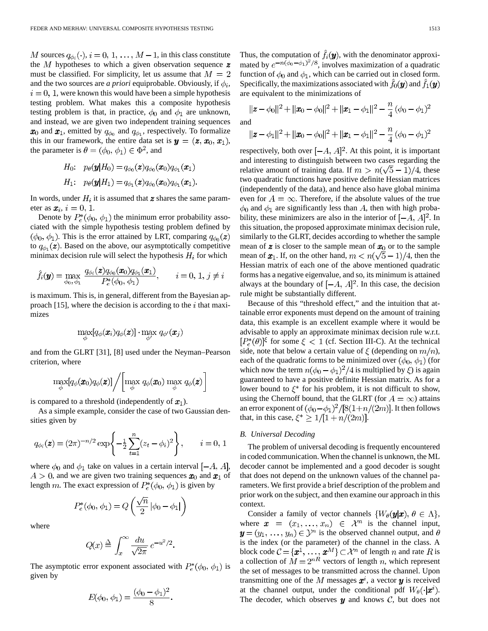M sources  $q_{\phi_i}(\cdot), i = 0, 1, ..., M - 1$ , in this class constitute the  $M$  hypotheses to which a given observation sequence  $\boldsymbol{z}$ must be classified. For simplicity, let us assume that  $M = 2$ and the two sources are *a priori* equiprobable. Obviously, if  $\phi_i$ ,  $i = 0, 1$ , were known this would have been a simple hypothesis testing problem. What makes this a composite hypothesis testing problem is that, in practice,  $\phi_0$  and  $\phi_1$  are unknown, and instead, we are given two independent training sequences  $x_0$  and  $x_1$ , emitted by  $q_{\phi_0}$  and  $q_{\phi_1}$ , respectively. To formalize this in our framework, the entire data set is  $y = (z, x_0, x_1)$ , the parameter is  $\theta = (\phi_0, \phi_1) \in \Phi^2$ , and

$$
H_0: \quad p_{\theta}(\boldsymbol{y}|H_0) = q_{\phi_0}(\boldsymbol{z})q_{\phi_0}(\boldsymbol{x}_0)q_{\phi_1}(\boldsymbol{x}_1)
$$

$$
H_1: \quad p_{\theta}(\boldsymbol{y}|H_1) = q_{\phi_1}(\boldsymbol{z})q_{\phi_0}(\boldsymbol{x}_0)q_{\phi_1}(\boldsymbol{x}_1).
$$

In words, under  $H_i$  it is assumed that  $\boldsymbol{z}$  shares the same parameter as  $\mathbf{x}_i$ ,  $i = 0, 1$ .

Denote by  $P_e^*(\phi_0, \phi_1)$  the minimum error probability associated with the simple hypothesis testing problem defined by  $(\phi_0, \phi_1)$ . This is the error attained by LRT, comparing  $q_{\phi_0}(z)$ to  $q_{\phi_1}(\mathbf{z})$ . Based on the above, our asymptotically competitive minimax decision rule will select the hypothesis  $H_i$  for which

$$
\hat{f}_i(\boldsymbol{y}) = \max_{\phi_0, \phi_1} \frac{q_{\phi_i}(\boldsymbol{z}) q_{\phi_0}(\boldsymbol{x}_0) q_{\phi_1}(\boldsymbol{x}_1)}{P_e^*(\phi_0, \phi_1)}, \qquad i = 0, 1, j \neq i
$$

 $\sim 10^{-1}$  .

**College** 

 $\mathcal{L}^{\mathcal{L}}$  .

is maximum. This is, in general, different from the Bayesian approach [15], where the decision is according to the  $i$  that maximizes

$$
\max_{\phi} [q_{\phi}(\pmb{x}_i)q_{\phi}(\pmb{z})] \cdot \max_{\phi'} q_{\phi'}(\pmb{x}_j)
$$

and from the GLRT [31], [8] used under the Neyman–Pearson criterion, where

$$
\max_{\phi} [q_{\phi}(\pmb{x}_{0})q_{\phi}(\pmb{z})] \Bigg/ \bigg[\max_{\phi} q_{\phi}(\pmb{x}_{0}) \, \max_{\phi} q_{\phi}(\pmb{z})\bigg]
$$

is compared to a threshold (independently of  $x_1$ ).

As a simple example, consider the case of two Gaussian densities given by

$$
q_{\phi_i}(\mathbf{z}) = (2\pi)^{-n/2} \exp\left\{-\frac{1}{2}\sum_{t=1}^n (z_t - \phi_i)^2\right\}, \quad i = 0, 1
$$

where  $\phi_0$  and  $\phi_1$  take on values in a certain interval  $[-A, A]$ ,  $A > 0$ , and we are given two training sequences  $x_0$  and  $x_1$  of length m. The exact expression of  $P_e^*(\phi_0, \phi_1)$  is given by

$$
P_e^*(\phi_0, \phi_1) = Q\left(\frac{\sqrt{n}}{2} | \phi_0 - \phi_1| \right)
$$

where

$$
Q(x) \stackrel{\Delta}{=} \int_x^{\infty} \frac{du}{\sqrt{2\pi}} e^{-u^2/2}
$$

The asymptotic error exponent associated with  $P_e^*(\phi_0, \phi_1)$  is given by

$$
E(\phi_0, \phi_1) = \frac{(\phi_0 - \phi_1)^2}{8}.
$$

Thus, the computation of  $\hat{f}_i(\mathbf{y})$ , with the denominator approximated by  $e^{-n(\phi_0-\phi_1)^2/8}$ , involves maximization of a quadratic function of  $\phi_0$  and  $\phi_1$ , which can be carried out in closed form. Specifically, the maximizations associated with  $f_0(\mathbf{y})$  and  $f_1(\mathbf{y})$ are equivalent to the minimizations of

$$
\|\mathbf{z} - \phi_0\|^2 + \|\mathbf{x}_0 - \phi_0\|^2 + \|\mathbf{x}_1 - \phi_1\|^2 - \frac{n}{4}(\phi_0 - \phi_1)^2
$$

and

$$
\|\mathbf{z} - \phi_1\|^2 + \|\mathbf{x}_0 - \phi_0\|^2 + \|\mathbf{x}_1 - \phi_1\|^2 - \frac{n}{4}(\phi_0 - \phi_1)^2
$$

respectively, both over  $[-A, A]^2$ . At this point, it is important and interesting to distinguish between two cases regarding the relative amount of training data. If  $m > n(\sqrt{5} - 1)/4$ , these two quadratic functions have positive definite Hessian matrices (independently of the data), and hence also have global minima even for  $A = \infty$ . Therefore, if the absolute values of the true  $\phi_0$  and  $\phi_1$  are significantly less than A, then with high probability, these minimizers are also in the interior of  $[-A, A]^2$ . In this situation, the proposed approximate minimax decision rule, similarly to the GLRT, decides according to whether the sample mean of z is closer to the sample mean of  $x_0$  or to the sample mean of  $x_1$ . If, on the other hand,  $m < n(\sqrt{5}-1)/4$ , then the Hessian matrix of each one of the above mentioned quadratic forms has a negative eigenvalue, and so, its minimum is attained always at the boundary of  $[-A, A]^2$ . In this case, the decision rule might be substantially different.

Because of this "threshold effect," and the intuition that attainable error exponents must depend on the amount of training data, this example is an excellent example where it would be advisable to apply an approximate minimax decision rule w.r.t.  $[P_e^*(\theta)]^{\xi}$  for some  $\xi < 1$  (cf. Section III-C). At the technical side, note that below a certain value of  $\xi$  (depending on  $m/n$ ), each of the quadratic forms to be minimized over  $(\phi_0, \phi_1)$  (for which now the term  $n(\phi_0 - \phi_1)^2/4$  is multiplied by  $\xi$ ) is again guaranteed to have a positive definite Hessian matrix. As for a lower bound to  $\xi^*$  for his problem, it is not difficult to show, using the Chernoff bound, that the GLRT (for  $A = \infty$ ) attains an error exponent of  $(\phi_0 - \phi_1)^2/[8(1+n/(2m))]$ . It then follows that, in this case,  $\xi^* \geq 1/[1 + n/(2m)]$ .

# *B. Universal Decoding*

The problem of universal decoding is frequently encountered in coded communication. When the channel is unknown, the ML decoder cannot be implemented and a good decoder is sought that does not depend on the unknown values of the channel parameters. We first provide a brief description of the problem and prior work on the subject, and then examine our approach in this context.

Consider a family of vector channels  $\{W_{\theta}(\mathbf{y}|\mathbf{x}), \theta \in \Lambda\},\$ where  $\mathbf{x} = (x_1, \dots, x_n) \in \mathcal{X}^n$  is the channel input,  $\mathbf{y} = (y_1, \ldots, y_n) \in \mathcal{Y}^n$  is the observed channel output, and  $\theta$ is the index (or the parameter) of the channel in the class. A block code  $\mathcal{C} = {\mathbf{x}^1, \dots, \mathbf{x}^M} \subset \mathcal{X}^n$  of length n and rate R is a collection of  $M = 2^{nR}$  vectors of length n, which represent the set of messages to be transmitted across the channel. Upon transmitting one of the M messages  $\mathbf{x}^i$ , a vector  $\mathbf{y}$  is received at the channel output, under the conditional pdf  $W_{\theta}(\cdot|\mathbf{x}^i)$ . The decoder, which observes  $y$  and knows  $C$ , but does not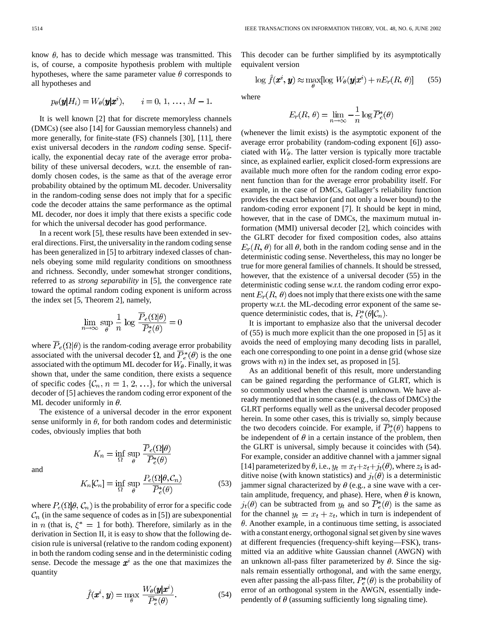know  $\theta$ , has to decide which message was transmitted. This is, of course, a composite hypothesis problem with multiple hypotheses, where the same parameter value  $\theta$  corresponds to all hypotheses and

$$
p_{\theta}(\mathbf{y}|H_i) = W_{\theta}(\mathbf{y}|\mathbf{x}^i), \quad i = 0, 1, ..., M-1.
$$

It is well known [2] that for discrete memoryless channels (DMCs) (see also [14] for Gaussian memoryless channels) and more generally, for finite-state (FS) channels [30], [11], there exist universal decoders in the *random coding* sense. Specifically, the exponential decay rate of the average error probability of these universal decoders, w.r.t. the ensemble of randomly chosen codes, is the same as that of the average error probability obtained by the optimum ML decoder. Universality in the random-coding sense does not imply that for a specific code the decoder attains the same performance as the optimal ML decoder, nor does it imply that there exists a specific code for which the universal decoder has good performance.

In a recent work [5], these results have been extended in several directions. First, the universality in the random coding sense has been generalized in [5] to arbitrary indexed classes of channels obeying some mild regularity conditions on smoothness and richness. Secondly, under somewhat stronger conditions, referred to as *strong separability* in [5], the convergence rate toward the optimal random coding exponent is uniform across the index set [5, Theorem 2], namely,

$$
\lim_{n \to \infty} \sup_{\theta} \frac{1}{n} \log \frac{\overline{P}_e(\Omega | \theta)}{\overline{P}_e^*(\theta)} = 0
$$

where  $\overline{P}_e(\Omega|\theta)$  is the random-coding average error probability associated with the universal decoder  $\Omega$ , and  $\overline{P}_e^*(\theta)$  is the one associated with the optimum ML decoder for  $W_{\theta}$ . Finally, it was shown that, under the same condition, there exists a sequence of specific codes  $\{\mathcal{C}_n, n = 1, 2, ...\}$ , for which the universal decoder of [5] achieves the random coding error exponent of the ML decoder uniformly in  $\theta$ .

The existence of a universal decoder in the error exponent sense uniformly in  $\theta$ , for both random codes and deterministic codes, obviously implies that both

 $\ddot{\phantom{0}}$ 

and

$$
K_n = \inf_{\Omega} \sup_{\theta} \frac{1}{\overline{P}_e^*(\theta)}
$$

$$
K_n[\mathcal{C}_n] = \inf_{\Omega} \sup_{\theta} \frac{P_e(\Omega | \theta, \mathcal{C}_n)}{\overline{P}_e^*(\theta)} \tag{53}
$$

 $\overline{P}_{e}(\Omega|\theta)$ 

where  $P_e(\Omega|\theta, \mathcal{C}_n)$  is the probability of error for a specific code  $C_n$  (in the same sequence of codes as in [5]) are subexponential in *n* (that is,  $\xi^* = 1$  for both). Therefore, similarly as in the derivation in Section II, it is easy to show that the following decision rule is universal (relative to the random coding exponent) in both the random coding sense and in the deterministic coding sense. Decode the message  $x^i$  as the one that maximizes the quantity

$$
\hat{f}(\boldsymbol{x}^i, \boldsymbol{y}) = \max_{\theta} \frac{W_{\theta}(\boldsymbol{y}|\boldsymbol{x}^i)}{\overline{P}_{\epsilon}^*(\theta)}.
$$
\n(54)

This decoder can be further simplified by its asymptotically equivalent version

$$
\log \hat{f}(\boldsymbol{x}^i, \boldsymbol{y}) \approx \max_{\theta} [\log W_{\theta}(\boldsymbol{y}|\boldsymbol{x}^i) + nE_r(R, \theta)] \qquad (55)
$$

where

$$
E_r(R, \theta) = \lim_{n \to \infty} -\frac{1}{n} \log \overline{P}_e^*(\theta)
$$

(whenever the limit exists) is the asymptotic exponent of the average error probability (random-coding exponent [6]) associated with  $W_{\theta}$ . The latter version is typically more tractable since, as explained earlier, explicit closed-form expressions are available much more often for the random coding error exponent function than for the average error probability itself. For example, in the case of DMCs, Gallager's reliability function provides the exact behavior (and not only a lower bound) to the random-coding error exponent [7]. It should be kept in mind, however, that in the case of DMCs, the maximum mutual information (MMI) universal decoder [2], which coincides with the GLRT decoder for fixed composition codes, also attains  $E_r(R, \theta)$  for all  $\theta$ , both in the random coding sense and in the deterministic coding sense. Nevertheless, this may no longer be true for more general families of channels. It should be stressed, however, that the existence of a universal decoder (55) in the deterministic coding sense w.r.t. the random coding error exponent  $E_r(R, \theta)$  does not imply that there exists one with the same property w.r.t. the ML-decoding error exponent of the same sequence deterministic codes, that is,  $P_e^*(\theta | \mathcal{C}_n)$ .

It is important to emphasize also that the universal decoder of (55) is much more explicit than the one proposed in [5] as it avoids the need of employing many decoding lists in parallel, each one corresponding to one point in a dense grid (whose size grows with  $n$ ) in the index set, as proposed in [5].

As an additional benefit of this result, more understanding can be gained regarding the performance of GLRT, which is so commonly used when the channel is unknown. We have already mentioned that in some cases (e.g., the class of DMCs) the GLRT performs equally well as the universal decoder proposed herein. In some other cases, this is trivially so, simply because the two decoders coincide. For example, if  $\overline{P_e^*}(\theta)$  happens to be independent of  $\theta$  in a certain instance of the problem, then the GLRT is universal, simply because it coincides with (54). For example, consider an additive channel with a jammer signal [14] parameterized by  $\theta$ , i.e.,  $y_t = x_t + z_t + j_t(\theta)$ , where  $z_t$  is additive noise (with known statistics) and  $j_t(\theta)$  is a deterministic jammer signal characterized by  $\theta$  (e.g., a sine wave with a certain amplitude, frequency, and phase). Here, when  $\theta$  is known,  $j_t(\theta)$  can be subtracted from  $y_t$  and so  $\overline{P}_e^*(\theta)$  is the same as for the channel  $y_t = x_t + z_t$ , which in turn is independent of  $\theta$ . Another example, in a continuous time setting, is associated with a constant energy, orthogonal signal set given by sine waves at different frequencies (frequency-shift keying—FSK), transmitted via an additive white Gaussian channel (AWGN) with an unknown all-pass filter parameterized by  $\theta$ . Since the signals remain essentially orthogonal, and with the same energy, even after passing the all-pass filter,  $P_e^*(\theta)$  is the probability of error of an orthogonal system in the AWGN, essentially independently of  $\theta$  (assuming sufficiently long signaling time).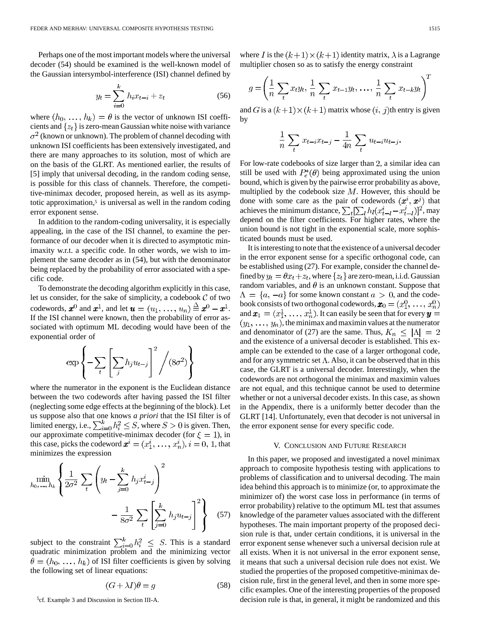Perhaps one of the most important models where the universal decoder (54) should be examined is the well-known model of the Gaussian intersymbol-interference (ISI) channel defined by

$$
y_t = \sum_{i=0}^{k} h_i x_{t-i} + z_t
$$
 (56)

where  $(h_0, \ldots, h_k) = \theta$  is the vector of unknown ISI coefficients and  $\{z_t\}$  is zero-mean Gaussian white noise with variance  $\sigma^2$  (known or unknown). The problem of channel decoding with unknown ISI coefficients has been extensively investigated, and there are many approaches to its solution, most of which are on the basis of the GLRT. As mentioned earlier, the results of [5] imply that universal decoding, in the random coding sense, is possible for this class of channels. Therefore, the competitive-minimax decoder, proposed herein, as well as its asymptotic approximation, $5$  is universal as well in the random coding error exponent sense.

In addition to the random-coding universality, it is especially appealing, in the case of the ISI channel, to examine the performance of our decoder when it is directed to asymptotic minimaxity w.r.t. a specific code. In other words, we wish to implement the same decoder as in (54), but with the denominator being replaced by the probability of error associated with a specific code.

To demonstrate the decoding algorithm explicitly in this case, let us consider, for the sake of simplicity, a codebook  $C$  of two codewords,  $\mathbf{x}^0$  and  $\mathbf{x}^1$ , and let  $\mathbf{u} = (u_1, \ldots, u_n) \stackrel{\Delta}{=} \mathbf{x}^0 - \mathbf{x}^1$ . If the ISI channel were known, then the probability of error associated with optimum ML decoding would have been of the exponential order of

$$
\exp\left\{-\sum_{t}\left[\sum_{j}h_ju_{t-j}\right]^2/(8\sigma^2)\right\}
$$

where the numerator in the exponent is the Euclidean distance between the two codewords after having passed the ISI filter (neglecting some edge effects at the beginning of the block). Let us suppose also that one knows *a priori* that the ISI filter is of limited energy, i.e.,  $\sum_{i=0}^{k} h_i^2 \leq S$ , where  $S > 0$  is given. Then, our approximate competitive-minimax decoder (for  $\xi = 1$ ), in this case, picks the codeword  $x^i = (x_1^i, \ldots, x_n^i), i = 0, 1$ , that minimizes the expression

$$
\min_{h_0, \dots, h_k} \left\{ \frac{1}{2\sigma^2} \sum_t \left( y_t - \sum_{j=0}^k h_j x_{t-j}^i \right)^2 - \frac{1}{8\sigma^2} \sum_t \left[ \sum_{j=0}^k h_j u_{t-j} \right]^2 \right\}
$$
(57)

subject to the constraint  $\sum_{i=0}^{k} h_i^2 \leq S$ . This is a standard quadratic minimization problem and the minimizing vector  $\theta = (h_0, \ldots, h_k)$  of ISI filter coefficients is given by solving the following set of linear equations:

$$
(G + \lambda I)\theta = g \tag{58}
$$

5cf. Example 3 and Discussion in Section III-A.

where I is the  $(k+1) \times (k+1)$  identity matrix,  $\lambda$  is a Lagrange multiplier chosen so as to satisfy the energy constraint

$$
g = \left(\frac{1}{n}\sum_{t} x_{t}y_{t}, \frac{1}{n}\sum_{t} x_{t-1}y_{t}, \dots, \frac{1}{n}\sum_{t} x_{t-k}y_{t}\right)^{T}
$$

and G is a  $(k+1) \times (k+1)$  matrix whose  $(i, j)$ th entry is given by

$$
\frac{1}{n} \sum_{t} x_{t-i} x_{t-j} - \frac{1}{4n} \sum_{t} u_{t-i} u_{t-j}.
$$

For low-rate codebooks of size larger than 2, a similar idea can still be used with  $P_e^*(\theta)$  being approximated using the union bound, which is given by the pairwise error probability as above, multiplied by the codebook size  $M$ . However, this should be done with some care as the pair of codewords  $(x^i, x^j)$  that achieves the minimum distance,  $\sum_{t} [\sum_{l} h_l(x_{t-l}^i - x_{t-l}^j)]^2$ , may depend on the filter coefficients. For higher rates, where the union bound is not tight in the exponential scale, more sophisticated bounds must be used.

It is interesting to note that the existence of a universal decoder in the error exponent sense for a specific orthogonal code, can be established using (27). For example, consider the channel defined by  $y_t = \theta x_t + z_t$ , where  $\{z_t\}$  are zero-mean, i.i.d. Gaussian random variables, and  $\theta$  is an unknown constant. Suppose that  $\Lambda = \{a, -a\}$  for some known constant  $a > 0$ , and the codebook consists of two orthogonal codewords, and  $\mathbf{x}_1 = (x_1^1, \ldots, x_n^1)$ . It can easily be seen that for every  $(y_1, \ldots, y_n)$ , the minimax and maximin values at the numerator and denominator of (27) are the same. Thus,  $K_n \leq |\Lambda| = 2$ and the existence of a universal decoder is established. This example can be extended to the case of a larger orthogonal code, and for any symmetric set  $\Lambda$ . Also, it can be observed that in this case, the GLRT is a universal decoder. Interestingly, when the codewords are not orthogonal the minimax and maximin values are not equal, and this technique cannot be used to determine whether or not a universal decoder exists. In this case, as shown in the Appendix, there is a uniformly better decoder than the GLRT [14]. Unfortunately, even that decoder is not universal in the error exponent sense for every specific code.

# V. CONCLUSION AND FUTURE RESEARCH

In this paper, we proposed and investigated a novel minimax approach to composite hypothesis testing with applications to problems of classification and to universal decoding. The main idea behind this approach is to minimize (or, to approximate the minimizer of) the worst case loss in performance (in terms of error probability) relative to the optimum ML test that assumes knowledge of the parameter values associated with the different hypotheses. The main important property of the proposed decision rule is that, under certain conditions, it is universal in the error exponent sense whenever such a universal decision rule at all exists. When it is not universal in the error exponent sense, it means that such a universal decision rule does not exist. We studied the properties of the proposed competitive-minimax decision rule, first in the general level, and then in some more specific examples. One of the interesting properties of the proposed decision rule is that, in general, it might be randomized and this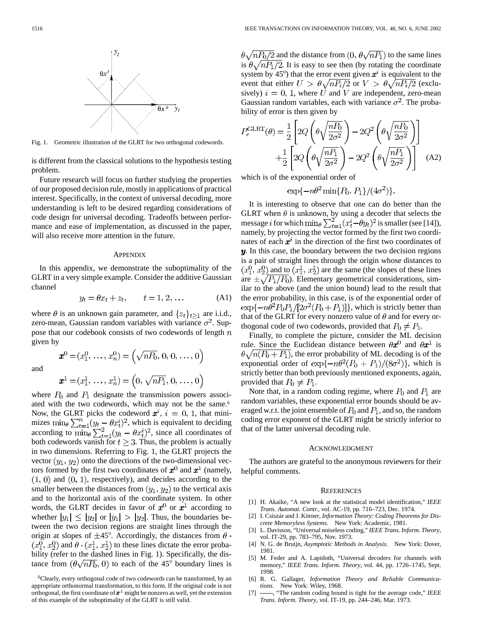

Fig. 1. Geometric illustration of the GLRT for two orthogonal codewords.

is different from the classical solutions to the hypothesis testing problem.

Future research will focus on further studying the properties of our proposed decision rule, mostly in applications of practical interest. Specifically, in the context of universal decoding, more understanding is left to be desired regarding considerations of code design for universal decoding. Tradeoffs between performance and ease of implementation, as discussed in the paper, will also receive more attention in the future.

#### **APPENDIX**

In this appendix, we demonstrate the suboptimality of the GLRT in a very simple example. Consider the additive Gaussian channel

$$
y_t = \theta x_t + z_t, \qquad t = 1, 2, \dots \tag{A1}
$$

where  $\theta$  is an unknown gain parameter, and  $\{z_t\}_{t\geq 1}$  are i.i.d., zero-mean, Gaussian random variables with variance  $\sigma^2$ . Suppose that our codebook consists of two codewords of length  $n$ given by

and

$$
\boldsymbol{x}^0 = (x_1^0, \ldots, x_n^0) = (\sqrt{nP_0}, 0, 0, \ldots, 0)
$$

$$
\boldsymbol{x}^1 = (x_1^1, \ldots, x_n^1) = \left(0, \sqrt{n_1}, 0, \ldots, 0\right)
$$

where  $P_0$  and  $P_1$  designate the transmission powers associated with the two codewords, which may not be the same.<sup>6</sup> Now, the GLRT picks the codeword  $x^i$ ,  $i = 0, 1$ , that minimizes  $\min_{\theta} \sum_{t=1}^{n} (y_t - \theta x_t^i)^2$ , which is equivalent to deciding according to  $\min_{\theta} \sum_{t=1}^{2} (y_t - \theta x_t^i)^2$ , since all coordinates of both codewords vanish for  $t \geq 3$ . Thus, the problem is actually in two dimensions. Referring to Fig. 1, the GLRT projects the vector  $(y_1, y_2)$  onto the directions of the two-dimensional vectors formed by the first two coordinates of  $x^0$  and  $x^1$  (namely,  $(1, 0)$  and  $(0, 1)$ , respectively), and decides according to the smaller between the distances from  $(y_1, y_2)$  to the vertical axis and to the horizontal axis of the coordinate system. In other words, the GLRT decides in favor of  $x^0$  or  $x^1$  according to whether  $|y_1| \le |y_2|$  or  $|y_1| > |y_2|$ . Thus, the boundaries between the two decision regions are straight lines through the origin at slopes of  $\pm 45^\circ$ . Accordingly, the distances from  $\theta$ .  $(x_1^0, x_2^0)$  and  $\theta \cdot (x_1^1, x_2^1)$  to these lines dictate the error probability (refer to the dashed lines in Fig. 1). Specifically, the distance from  $(\theta \sqrt{nP_0}, 0)$  to each of the 45<sup>°</sup> boundary lines is  $\theta \sqrt{nP_0/2}$  and the distance from  $(0, \theta \sqrt{nP_1})$  to the same lines is  $\theta \sqrt{nP_1/2}$ . It is easy to see then (by rotating the coordinate system by 45 $^{\circ}$ ) that the error event given  $x^i$  is equivalent to the event that either  $U > \theta \sqrt{n P_i/2}$  or  $V > \theta \sqrt{n P_i/2}$  (exclusively)  $i = 0, 1$ , where U and V are independent, zero-mean Gaussian random variables, each with variance  $\sigma^2$ . The probability of error is then given by

$$
P_e^{\text{GLRT}}(\theta) = \frac{1}{2} \left[ 2Q \left( \theta \sqrt{\frac{n_0}{2\sigma^2}} \right) - 2Q^2 \left( \theta \sqrt{\frac{n_0}{2\sigma^2}} \right) \right] + \frac{1}{2} \left[ 2Q \left( \theta \sqrt{\frac{n_1}{2\sigma^2}} \right) - 2Q^2 \left( \theta \sqrt{\frac{n_1}{2\sigma^2}} \right) \right]
$$
(A2)

which is of the exponential order of

$$
\exp\{-n\theta^2\min\{P_0,\,P_1\}/(4\sigma^2)\}.
$$

It is interesting to observe that one can do better than the GLRT when  $\theta$  is unknown, by using a decoder that selects the message i for which  $\min_{\theta} \sum_{t=1}^{2} (x_t^i - \theta y_t)^2$  is smaller (see [14]), namely, by projecting the vector formed by the first two coordinates of each  $x^i$  in the direction of the first two coordinates of  $\boldsymbol{y}$ . In this case, the boundary between the two decision regions is a pair of straight lines through the origin whose distances to  $(x_1^0, x_2^0)$  and to  $(x_1^1, x_2^1)$  are the same (the slopes of these lines are  $\pm \sqrt{P_1/P_0}$ ). Elementary geometrical considerations, similar to the above (and the union bound) lead to the result that the error probability, in this case, is of the exponential order of  $\exp\{-n\theta^2 P_0 P_1/[2\sigma^2(P_0+P_1)]\}$ , which is strictly better than that of the GLRT for every nonzero value of  $\theta$  and for every orthogonal code of two codewords, provided that  $P_0 \neq P_1$ .

Finally, to complete the picture, consider the ML decision rule. Since the Euclidean distance between  $\theta x^0$  and  $\theta x^1$  is  $\theta \sqrt{n(P_0+P_1)}$ , the error probability of ML decoding is of the exponential order of  $\exp\{-n\theta^2(P_0+P_1)/(8\sigma^2)\}\$ , which is strictly better than both previously mentioned exponents, again, provided that  $P_0 \neq P_1$ .

Note that, in a random coding regime, where  $P_0$  and  $P_1$  are random variables, these exponential error bounds should be averaged w.r.t. the joint ensemble of  $P_0$  and  $P_1$ , and so, the random coding error exponent of the GLRT might be strictly inferior to that of the latter universal decoding rule.

#### ACKNOWLEDGMENT

The authors are grateful to the anonymous reviewers for their helpful comments.

#### **REFERENCES**

- [1] H. Akaike, "A new look at the statistical model identification," *IEEE Trans. Automat. Contr.*, vol. AC-19, pp. 716–723, Dec. 1974.
- [2] I. Csiszár and J. Körner, *Information Theory: Coding Theorems for Discrete Memoryless Systems*. New York: Academic, 1981.
- [3] L. Davisson, "Universal noiseless coding," *IEEE Trans. Inform. Theory*, vol. IT-29, pp. 783–795, Nov. 1973.
- [4] N. G. de Bruijn, *Asymptotic Methods in Analysis*. New York: Dover, 1981.
- [5] M. Feder and A. Lapidoth, "Universal decoders for channels with memory," *IEEE Trans. Inform. Theory*, vol. 44, pp. 1726–1745, Sept. 1998.
- [6] R. G. Gallager, *Information Theory and Reliable Communications*. New York: Wiley, 1968.
- [7]  $\rightarrow$  "The random coding bound is tight for the average code," *IEEE Trans. Inform. Theory*, vol. IT-19, pp. 244–246, Mar. 1973.

<sup>6</sup>Clearly, every orthogonal code of two codewords can be transformed, by an appropriate orthonormal transformation, to this form. If the original code is not orthogonal, the first coordinate of  $x^1$  might be nonzero as well, yet the extension of this example of the suboptimality of the GLRT is still valid.